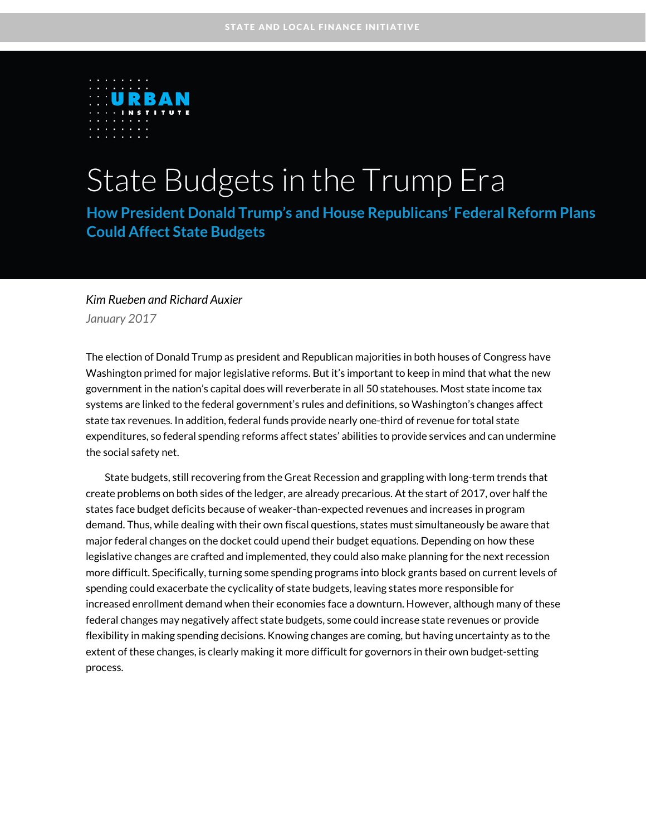

# State Budgets in the Trump Era

**How President Donald Trump's and House Republicans' Federal Reform Plans Could Affect State Budgets**

#### *Kim Rueben and Richard Auxier January 2017*

The election of Donald Trump as president and Republican majorities in both houses of Congress have Washington primed for major legislative reforms. But it's important to keep in mind that what the new government in the nation's capital does will reverberate in all 50 statehouses. Most state income tax

systems are linked to the federal government's rules and definitions, so Washington's changes affect state tax revenues. In addition, federal funds provide nearly one-third of revenue for total state expenditures, so federal spending reforms affect states' abilities to provide services and can undermine the social safety net.

State budgets, still recovering from the Great Recession and grappling with long-term trends that create problems on both sides of the ledger, are already precarious. At the start of 2017, over half the states face budget deficits because of weaker-than-expected revenues and increases in program demand. Thus, while dealing with their own fiscal questions, states must simultaneously be aware that major federal changes on the docket could upend their budget equations. Depending on how these legislative changes are crafted and implemented, they could also make planning for the next recession more difficult. Specifically, turning some spending programs into block grants based on current levels of spending could exacerbate the cyclicality of state budgets, leaving states more responsible for increased enrollment demand when their economies face a downturn. However, although many of these federal changes may negatively affect state budgets, some could increase state revenues or provide flexibility in making spending decisions. Knowing changes are coming, but having uncertainty as to the extent of these changes, is clearly making it more difficult for governors in their own budget-setting process.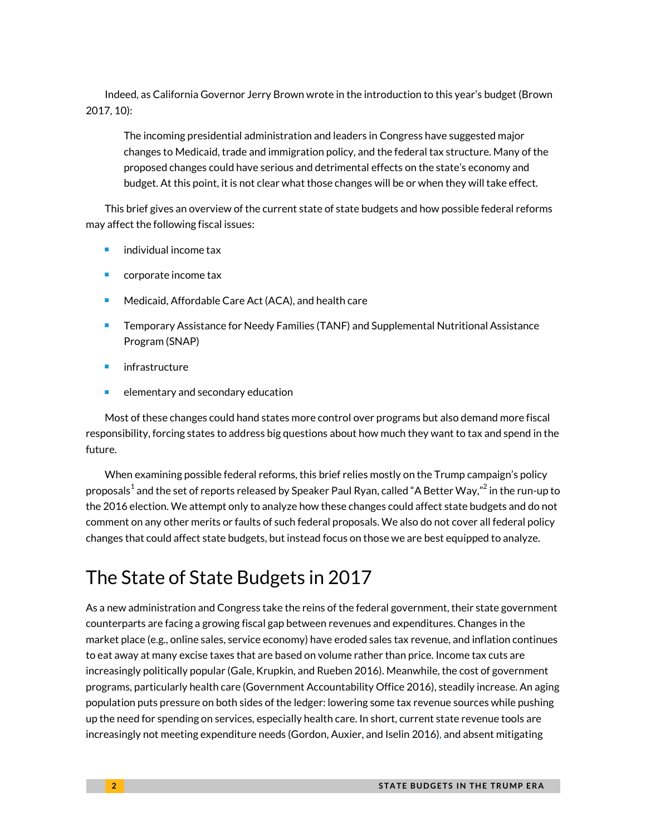Indeed, as California Governor Jerry Brown wrote in the introduction to this year's budget (Brown 2017, 10):

The incoming presidential administration and leaders in Congress have suggested major changes to Medicaid, trade and immigration policy, and the federal tax structure. Many of the proposed changes could have serious and detrimental effects on the state's economy and budget. At this point, it is not clear what those changes will be or when they will take effect.

This brief gives an overview of the current state of state budgets and how possible federal reforms may affect the following fiscal issues:

- individual income tax
- corporate income tax
- Medicaid, Affordable Care Act (ACA), and health care
- Temporary Assistance for Needy Families (TANF) and Supplemental Nutritional Assistance Program (SNAP)
- infrastructure
- $\blacksquare$  elementary and secondary education

Most of these changes could hand states more control over programs but also demand more fiscal responsibility, forcing states to address big questions about how much they want to tax and spend in the future.

When examining possible federal reforms, this brief relies mostly on the Trump campaign's policy proposals $^1$  $^1$  and the set of reports released by Speaker Paul Ryan, called "A Better Way," $^2$  in the run-up to the 2016 election. We attempt only to analyze how these changes could affect state budgets and do not comment on any other merits or faults of such federal proposals. We also do not cover all federal policy changes that could affect state budgets, but instead focus on those we are best equipped to analyze.

# The State of State Budgets in 2017

As a new administration and Congress take the reins of the federal government, their state government counterparts are facing a growing fiscal gap between revenues and expenditures. Changes in the market place (e.g., online sales, service economy) have eroded sales tax revenue, and inflation continues to eat away at many excise taxes that are based on volume rather than price. Income tax cuts are increasingly politically popular (Gale, Krupkin, and Rueben 2016). Meanwhile, the cost of government programs, particularly health care (Government Accountability Office 2016), steadily increase. An aging population puts pressure on both sides of the ledger: lowering some tax revenue sources while pushing up the need for spending on services, especially health care. In short, current state revenue tools are increasingly not meeting expenditure needs (Gordon, Auxier, and Iselin 2016), and absent mitigating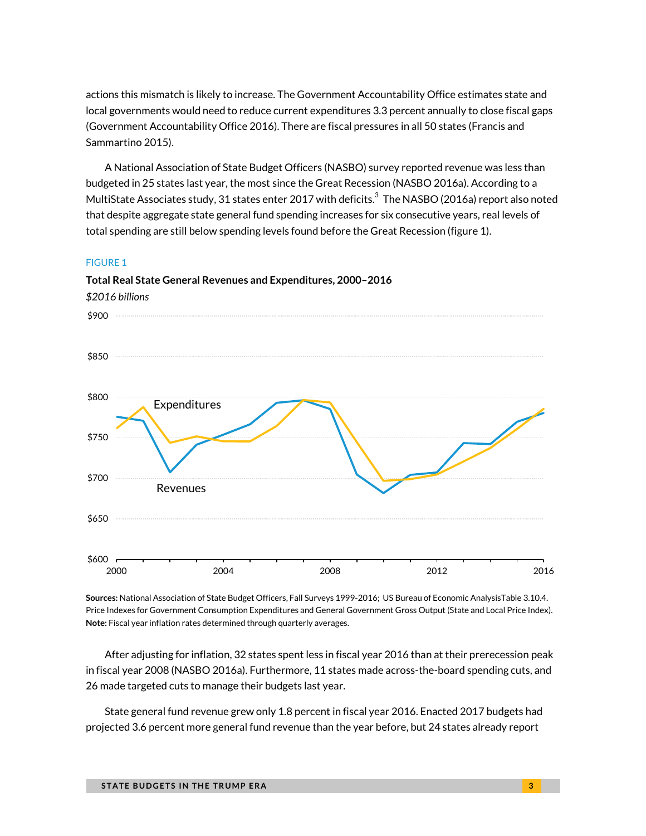actions this mismatch is likely to increase. The Government Accountability Office estimates state and local governments would need to reduce current expenditures 3.3 percent annually to close fiscal gaps (Government Accountability Office 2016). There are fiscal pressures in all 50 states (Francis and Sammartino 2015).

A National Association of State Budget Officers (NASBO) survey reported revenue was less than budgeted in 25 states last year, the most since the Great Recession (NASBO 2016a). According to a MultiState Associates study, [3](#page-16-2)1 states enter 2017 with deficits. $^3$  The NASBO (2016a) report also noted that despite aggregate state general fund spending increases for six consecutive years, real levels of total spending are still below spending levels found before the Great Recession (figure 1).

#### FIGURE 1



**Total Real State General Revenues and Expenditures, 2000–2016**

**Sources:** National Association of State Budget Officers, Fall Surveys 1999-2016; US Bureau of Economic AnalysisTable 3.10.4. Price Indexes for Government Consumption Expenditures and General Government Gross Output (State and Local Price Index). **Note:** Fiscal year inflation rates determined through quarterly averages.

After adjusting for inflation, 32 states spent less in fiscal year 2016 than at their prerecession peak in fiscal year 2008 (NASBO 2016a). Furthermore, 11 states made across-the-board spending cuts, and 26 made targeted cuts to manage their budgets last year.

State general fund revenue grew only 1.8 percent in fiscal year 2016. Enacted 2017 budgets had projected 3.6 percent more general fund revenue than the year before, but 24 states already report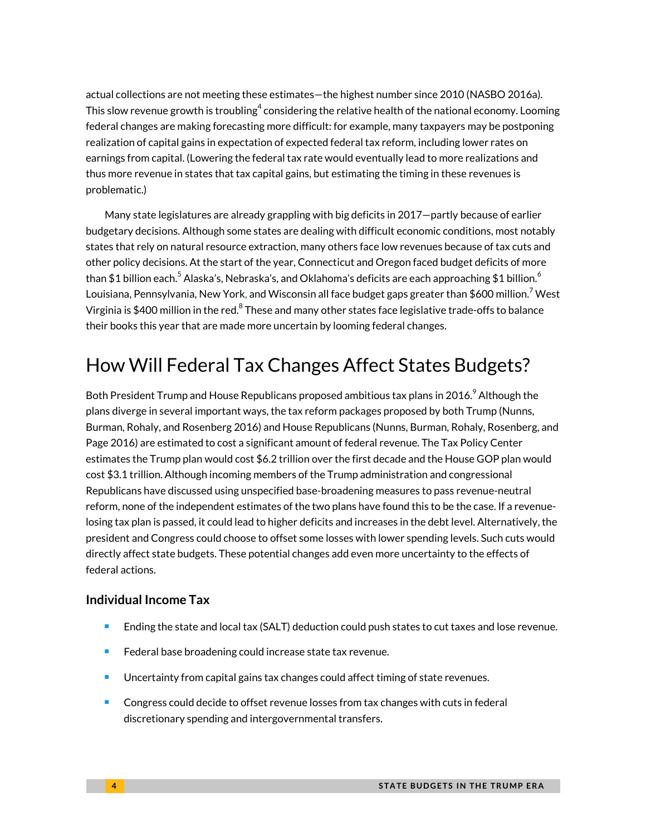actual collections are not meeting these estimates—the highest number since 2010 (NASBO 2016a). This slow revenue growth is troubling $^4$  considering the relative health of the national economy. Looming federal changes are making forecasting more difficult: for example, many taxpayers may be postponing realization of capital gains in expectation of expected federal tax reform, including lower rates on earnings from capital. (Lowering the federal tax rate would eventually lead to more realizations and thus more revenue in states that tax capital gains, but estimating the timing in these revenues is problematic.)

Many state legislatures are already grappling with big deficits in 2017—partly because of earlier budgetary decisions. Although some states are dealing with difficult economic conditions, most notably states that rely on natural resource extraction, many others face low revenues because of tax cuts and other policy decisions. At the start of the year, Connecticut and Oregon faced budget deficits of more than \$1 billion each. $^5$  $^5$  Alaska's, Nebraska's, and Oklahoma's deficits are each approaching \$1 billion. $^6$  $^6$ Louisiana, Pennsylvania, New York, and Wisconsin all face budget gaps greater than \$600 million.<sup>[7](#page-17-2)</sup> West Virginia is \$400 million in the red.<sup>[8](#page-17-3)</sup> These and many other states face legislative trade-offs to balance their books this year that are made more uncertain by looming federal changes.

# How Will Federal Tax Changes Affect States Budgets?

Both President Trump and House Republicans proposed ambitious tax plans in 2016. $^9$  $^9$  Although the plans diverge in several important ways, the tax reform packages proposed by both Trump (Nunns, Burman, Rohaly, and Rosenberg 2016) and House Republicans (Nunns, Burman, Rohaly, Rosenberg, and Page 2016) are estimated to cost a significant amount of federal revenue. The Tax Policy Center estimates the Trump plan would cost \$6.2 trillion over the first decade and the House GOP plan would cost \$3.1 trillion. Although incoming members of the Trump administration and congressional Republicans have discussed using unspecified base-broadening measures to pass revenue-neutral reform, none of the independent estimates of the two plans have found this to be the case. If a revenuelosing tax plan is passed, it could lead to higher deficits and increases in the debt level. Alternatively, the president and Congress could choose to offset some losses with lower spending levels. Such cuts would directly affect state budgets. These potential changes add even more uncertainty to the effects of federal actions.

#### **Individual Income Tax**

- **Ending the state and local tax (SALT) deduction could push states to cut taxes and lose revenue.**
- Federal base broadening could increase state tax revenue.
- Uncertainty from capital gains tax changes could affect timing of state revenues.
- **Congress could decide to offset revenue losses from tax changes with cuts in federal** discretionary spending and intergovernmental transfers.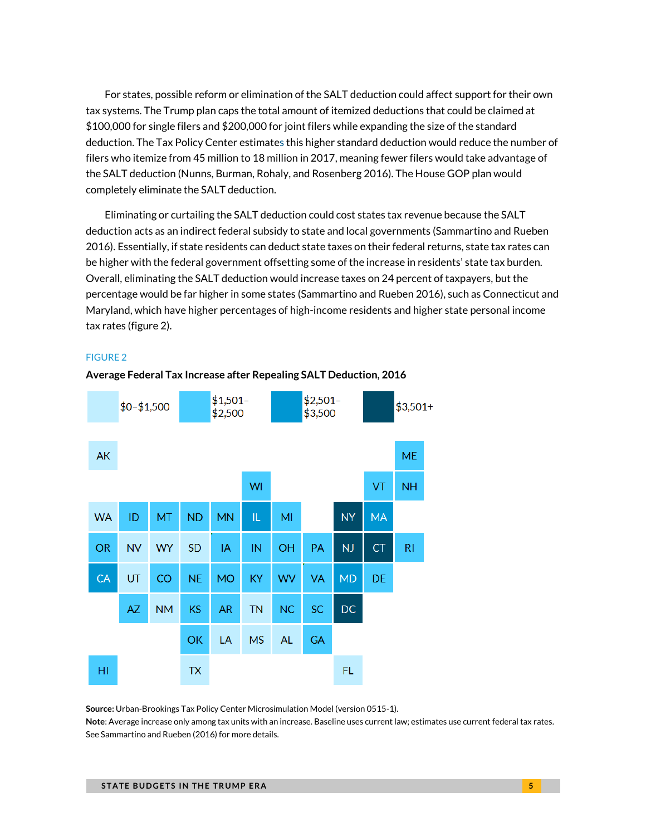For states, possible reform or elimination of the SALT deduction could affect support for their own tax systems. The Trump plan caps the total amount of itemized deductions that could be claimed at \$100,000 for single filers and \$200,000 for joint filers while expanding the size of the standard deduction. The Tax Policy Center estimates this higher standard deduction would reduce the number of filers who itemize from 45 million to 18 million in 2017, meaning fewer filers would take advantage of the SALT deduction (Nunns, Burman, Rohaly, and Rosenberg 2016). The House GOP plan would completely eliminate the SALT deduction.

Eliminating or curtailing the SALT deduction could cost states tax revenue because the SALT deduction acts as an indirect federal subsidy to state and local governments (Sammartino and Rueben 2016). Essentially, if state residents can deduct state taxes on their federal returns, state tax rates can be higher with the federal government offsetting some of the increase in residents' state tax burden. Overall, eliminating the SALT deduction would increase taxes on 24 percent of taxpayers, but the percentage would be far higher in some states (Sammartino and Rueben 2016), such as Connecticut and Maryland, which have higher percentages of high-income residents and higher state personal income tax rates (figure 2).

#### FIGURE 2



**Average Federal Tax Increase after Repealing SALT Deduction, 2016**

**Source:** Urban-Brookings Tax Policy Center Microsimulation Model (version 0515-1).

**Note**: Average increase only among tax units with an increase. Baseline uses current law; estimates use current federal tax rates. See Sammartino and Rueben (2016) for more details.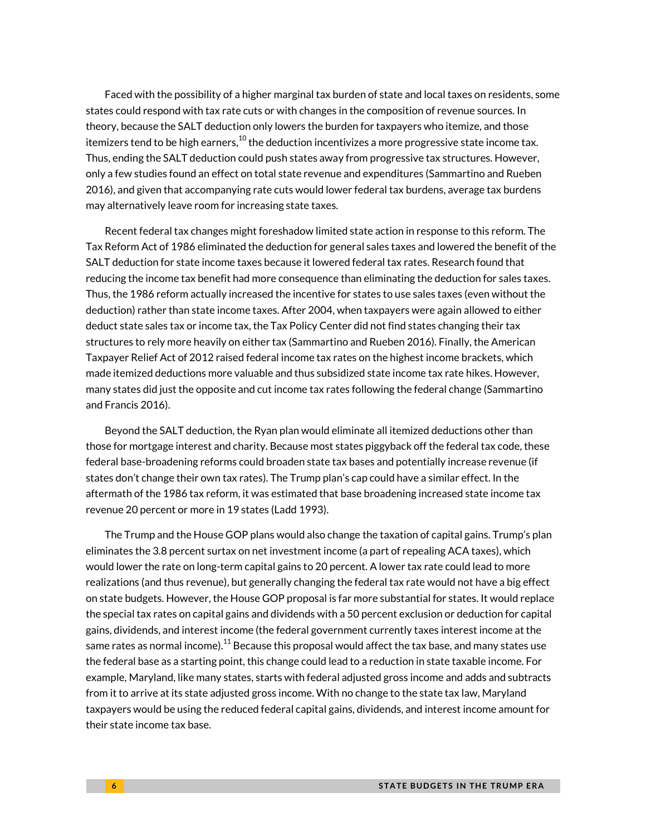Faced with the possibility of a higher marginal tax burden of state and local taxes on residents, some states could respond with tax rate cuts or with changes in the composition of revenue sources. In theory, because the SALT deduction only lowers the burden for taxpayers who itemize, and those itemizers tend to be high earners, $^{\rm 10}$  $^{\rm 10}$  $^{\rm 10}$  the deduction incentivizes a more progressive state income tax. Thus, ending the SALT deduction could push states away from progressive tax structures. However, only a few studies found an effect on total state revenue and expenditures (Sammartino and Rueben 2016), and given that accompanying rate cuts would lower federal tax burdens, average tax burdens may alternatively leave room for increasing state taxes.

Recent federal tax changes might foreshadow limited state action in response to this reform. The Tax Reform Act of 1986 eliminated the deduction for general sales taxes and lowered the benefit of the SALT deduction for state income taxes because it lowered federal tax rates. Research found that reducing the income tax benefit had more consequence than eliminating the deduction for sales taxes. Thus, the 1986 reform actually increased the incentive for states to use sales taxes (even without the deduction) rather than state income taxes. After 2004, when taxpayers were again allowed to either deduct state sales tax or income tax, the Tax Policy Center did not find states changing their tax structures to rely more heavily on either tax (Sammartino and Rueben 2016). Finally, the American Taxpayer Relief Act of 2012 raised federal income tax rates on the highest income brackets, which made itemized deductions more valuable and thus subsidized state income tax rate hikes. However, many states did just the opposite and cut income tax rates following the federal change (Sammartino and Francis 2016).

Beyond the SALT deduction, the Ryan plan would eliminate all itemized deductions other than those for mortgage interest and charity. Because most states piggyback off the federal tax code, these federal base-broadening reforms could broaden state tax bases and potentially increase revenue (if states don't change their own tax rates). The Trump plan's cap could have a similar effect. In the aftermath of the 1986 tax reform, it was estimated that base broadening increased state income tax revenue 20 percent or more in 19 states (Ladd 1993).

The Trump and the House GOP plans would also change the taxation of capital gains. Trump's plan eliminates the 3.8 percent surtax on net investment income (a part of repealing ACA taxes), which would lower the rate on long-term capital gains to 20 percent. A lower tax rate could lead to more realizations (and thus revenue), but generally changing the federal tax rate would not have a big effect on state budgets. However, the House GOP proposal is far more substantial for states. It would replace the special tax rates on capital gains and dividends with a 50 percent exclusion or deduction for capital gains, dividends, and interest income (the federal government currently taxes interest income at the same rates as normal income). $^{11}$  $^{11}$  $^{11}$  Because this proposal would affect the tax base, and many states use the federal base as a starting point, this change could lead to a reduction in state taxable income. For example, Maryland, like many states, starts with federal adjusted gross income and adds and subtracts from it to arrive at its state adjusted gross income. With no change to the state tax law, Maryland taxpayers would be using the reduced federal capital gains, dividends, and interest income amount for their state income tax base.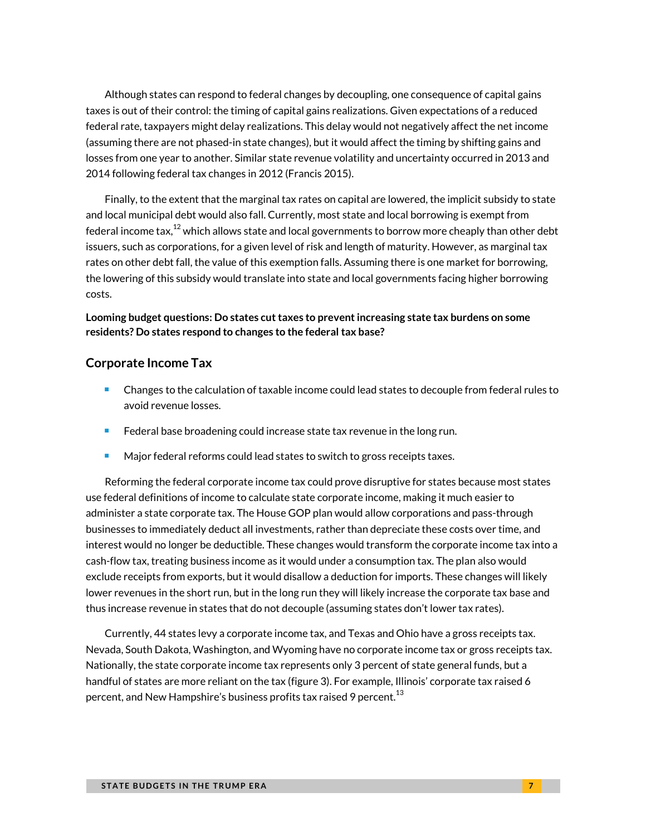Although states can respond to federal changes by decoupling, one consequence of capital gains taxes is out of their control: the timing of capital gains realizations. Given expectations of a reduced federal rate, taxpayers might delay realizations. This delay would not negatively affect the net income (assuming there are not phased-in state changes), but it would affect the timing by shifting gains and losses from one year to another. Similar state revenue volatility and uncertainty occurred in 2013 and 2014 following federal tax changes in 2012 (Francis 2015).

Finally, to the extent that the marginal tax rates on capital are lowered, the implicit subsidy to state and local municipal debt would also fall. Currently, most state and local borrowing is exempt from federal income tax, $^{12}$  $^{12}$  $^{12}$  which allows state and local governments to borrow more cheaply than other debt issuers, such as corporations, for a given level of risk and length of maturity. However, as marginal tax rates on other debt fall, the value of this exemption falls. Assuming there is one market for borrowing, the lowering of this subsidy would translate into state and local governments facing higher borrowing costs.

#### **Looming budget questions: Do states cut taxes to prevent increasing state tax burdens on some residents? Do states respond to changes to the federal tax base?**

#### **Corporate Income Tax**

- Changes to the calculation of taxable income could lead states to decouple from federal rules to avoid revenue losses.
- Federal base broadening could increase state tax revenue in the long run.
- Major federal reforms could lead states to switch to gross receipts taxes.

Reforming the federal corporate income tax could prove disruptive for states because most states use federal definitions of income to calculate state corporate income, making it much easier to administer a state corporate tax. The House GOP plan would allow corporations and pass-through businesses to immediately deduct all investments, rather than depreciate these costs over time, and interest would no longer be deductible. These changes would transform the corporate income tax into a cash-flow tax, treating business income as it would under a consumption tax. The plan also would exclude receipts from exports, but it would disallow a deduction for imports. These changes will likely lower revenues in the short run, but in the long run they will likely increase the corporate tax base and thus increase revenue in states that do not decouple (assuming states don't lower tax rates).

Currently, 44 states levy a corporate income tax, and Texas and Ohio have a gross receipts tax. Nevada, South Dakota, Washington, and Wyoming have no corporate income tax or gross receipts tax. Nationally, the state corporate income tax represents only 3 percent of state general funds, but a handful of states are more reliant on the tax (figure 3). For example, Illinois' corporate tax raised 6 percent, and New Hampshire's business profits tax raised 9 percent. $^{13}$  $^{13}$  $^{13}$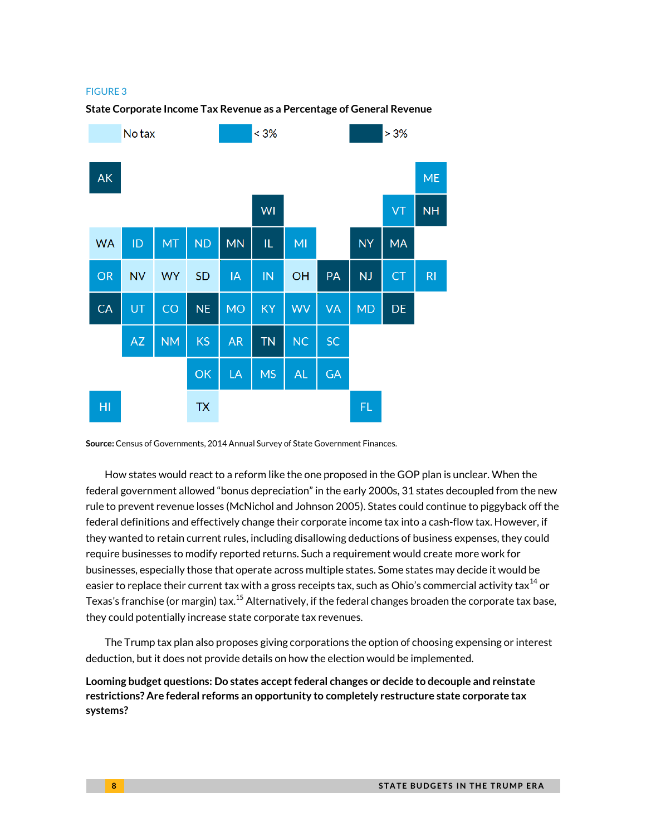#### FIGURE 3

#### **State Corporate Income Tax Revenue as a Percentage of General Revenue**



**Source:** Census of Governments, 2014 Annual Survey of State Government Finances.

How states would react to a reform like the one proposed in the GOP plan is unclear. When the federal government allowed "bonus depreciation" in the early 2000s, 31 states decoupled from the new rule to prevent revenue losses (McNichol and Johnson 2005). States could continue to piggyback off the federal definitions and effectively change their corporate income tax into a cash-flow tax. However, if they wanted to retain current rules, including disallowing deductions of business expenses, they could require businesses to modify reported returns. Such a requirement would create more work for businesses, especially those that operate across multiple states. Some states may decide it would be easier to replace their current tax with a gross receipts tax, such as Ohio's commercial activity tax $^{14}$  $^{14}$  $^{14}$  or Texas's franchise (or margin) tax.<sup>[15](#page-17-10)</sup> Alternatively, if the federal changes broaden the corporate tax base, they could potentially increase state corporate tax revenues.

The Trump tax plan also proposes giving corporations the option of choosing expensing or interest deduction, but it does not provide details on how the election would be implemented.

**Looming budget questions: Do states accept federal changes or decide to decouple and reinstate restrictions? Are federal reforms an opportunity to completely restructure state corporate tax systems?**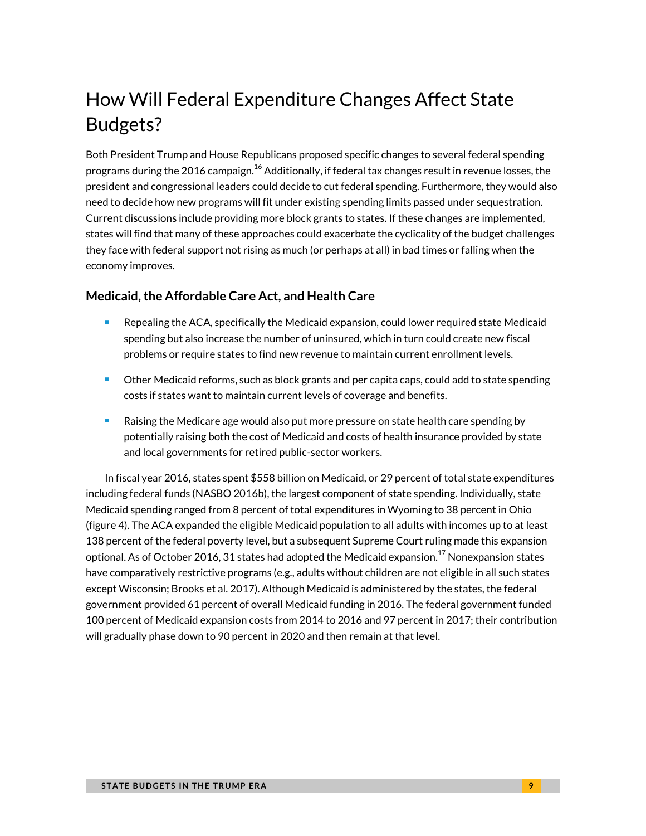# How Will Federal Expenditure Changes Affect State Budgets?

Both President Trump and House Republicans proposed specific changes to several federal spending programs during the 20[16](#page-17-11) campaign. $^{16}$  Additionally, if federal tax changes result in revenue losses, the president and congressional leaders could decide to cut federal spending. Furthermore, they would also need to decide how new programs will fit under existing spending limits passed under sequestration. Current discussions include providing more block grants to states. If these changes are implemented, states will find that many of these approaches could exacerbate the cyclicality of the budget challenges they face with federal support not rising as much (or perhaps at all) in bad times or falling when the economy improves.

#### **Medicaid, the Affordable Care Act, and Health Care**

- **E** Repealing the ACA, specifically the Medicaid expansion, could lower required state Medicaid spending but also increase the number of uninsured, which in turn could create new fiscal problems or require states to find new revenue to maintain current enrollment levels.
- **Duma** Other Medicaid reforms, such as block grants and per capita caps, could add to state spending costs if states want to maintain current levels of coverage and benefits.
- Raising the Medicare age would also put more pressure on state health care spending by potentially raising both the cost of Medicaid and costs of health insurance provided by state and local governments for retired public-sector workers.

In fiscal year 2016, states spent \$558 billion on Medicaid, or 29 percent of total state expenditures including federal funds (NASBO 2016b), the largest component of state spending. Individually, state Medicaid spending ranged from 8 percent of total expenditures in Wyoming to 38 percent in Ohio (figure 4). The ACA expanded the eligible Medicaid population to all adults with incomes up to at least 138 percent of the federal poverty level, but a subsequent Supreme Court ruling made this expansion optional. As of October 2016, 31 states had adopted the Medicaid expansion. $^{\rm 17}$  $^{\rm 17}$  $^{\rm 17}$  Nonexpansion states have comparatively restrictive programs (e.g., adults without children are not eligible in all such states except Wisconsin; Brooks et al. 2017). Although Medicaid is administered by the states, the federal government provided 61 percent of overall Medicaid funding in 2016. The federal government funded 100 percent of Medicaid expansion costs from 2014 to 2016 and 97 percent in 2017; their contribution will gradually phase down to 90 percent in 2020 and then remain at that level.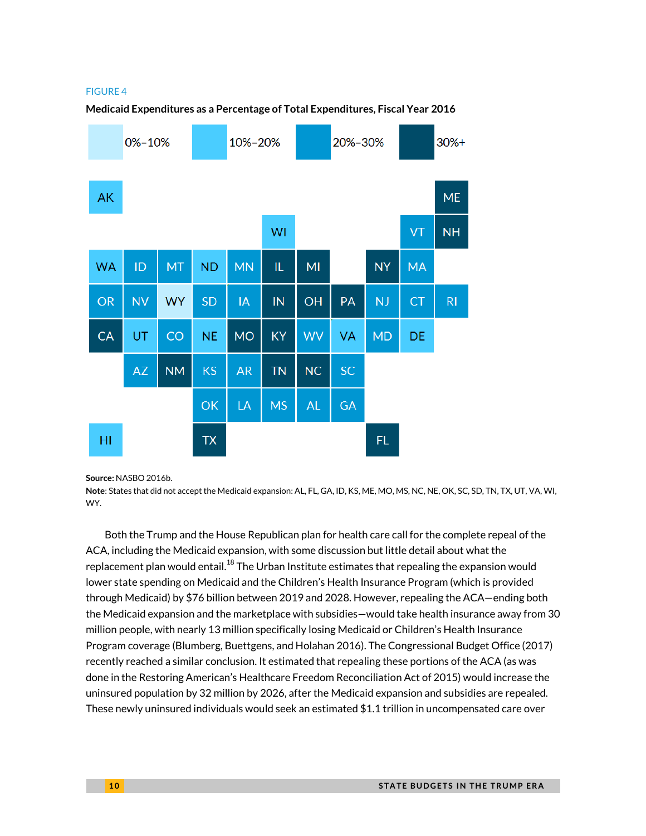#### FIGURE 4



**Medicaid Expenditures as a Percentage of Total Expenditures, Fiscal Year 2016**

#### **Source:** NASBO 2016b.

**Note**: States that did not accept the Medicaid expansion: AL, FL, GA, ID, KS, ME, MO, MS, NC, NE, OK, SC, SD, TN, TX, UT, VA, WI, WY.

Both the Trump and the House Republican plan for health care call for the complete repeal of the ACA, including the Medicaid expansion, with some discussion but little detail about what the replacement plan would entail. $^{18}$  $^{18}$  $^{18}$  The Urban Institute estimates that repealing the expansion would lower state spending on Medicaid and the Children's Health Insurance Program (which is provided through Medicaid) by \$76 billion between 2019 and 2028. However, repealing the ACA—ending both the Medicaid expansion and the marketplace with subsidies—would take health insurance away from 30 million people, with nearly 13 million specifically losing Medicaid or Children's Health Insurance Program coverage (Blumberg, Buettgens, and Holahan 2016). The Congressional Budget Office (2017) recently reached a similar conclusion. It estimated that repealing these portions of the ACA (as was done in the Restoring American's Healthcare Freedom Reconciliation Act of 2015) would increase the uninsured population by 32 million by 2026, after the Medicaid expansion and subsidies are repealed. These newly uninsured individuals would seek an estimated \$1.1 trillion in uncompensated care over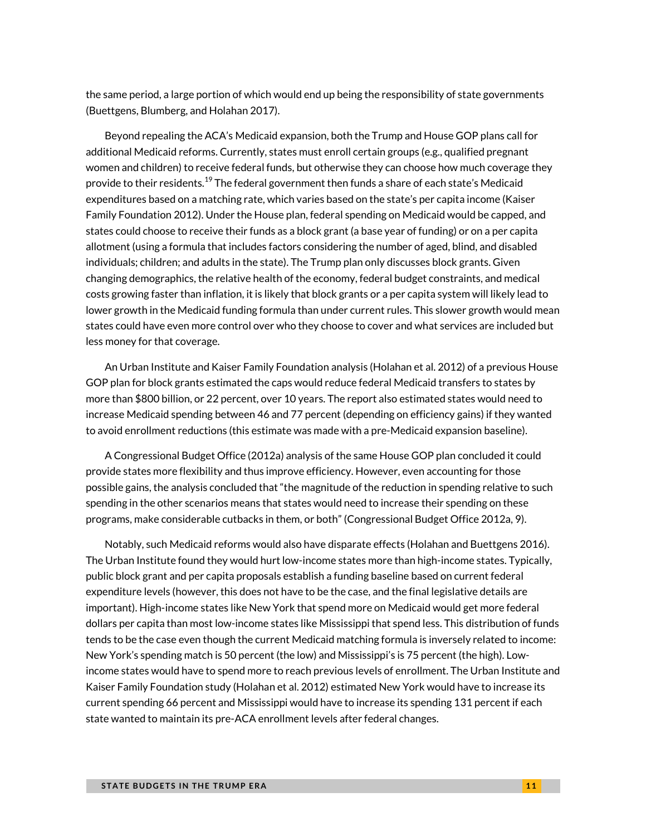the same period, a large portion of which would end up being the responsibility of state governments (Buettgens, Blumberg, and Holahan 2017).

Beyond repealing the ACA's Medicaid expansion, both the Trump and House GOP plans call for additional Medicaid reforms. Currently, states must enroll certain groups (e.g., qualified pregnant women and children) to receive federal funds, but otherwise they can choose how much coverage they provide to their residents.<sup>[19](#page-17-14)</sup> The federal government then funds a share of each state's Medicaid expenditures based on a matching rate, which varies based on the state's per capita income (Kaiser Family Foundation 2012). Under the House plan, federal spending on Medicaid would be capped, and states could choose to receive their funds as a block grant (a base year of funding) or on a per capita allotment (using a formula that includes factors considering the number of aged, blind, and disabled individuals; children; and adults in the state). The Trump plan only discusses block grants. Given changing demographics, the relative health of the economy, federal budget constraints, and medical costs growing faster than inflation, it is likely that block grants or a per capita system will likely lead to lower growth in the Medicaid funding formula than under current rules. This slower growth would mean states could have even more control over who they choose to cover and what services are included but less money for that coverage.

An Urban Institute and Kaiser Family Foundation analysis (Holahan et al. 2012) of a previous House GOP plan for block grants estimated the caps would reduce federal Medicaid transfers to states by more than \$800 billion, or 22 percent, over 10 years. The report also estimated states would need to increase Medicaid spending between 46 and 77 percent (depending on efficiency gains) if they wanted to avoid enrollment reductions (this estimate was made with a pre-Medicaid expansion baseline).

A Congressional Budget Office (2012a) analysis of the same House GOP plan concluded it could provide states more flexibility and thus improve efficiency. However, even accounting for those possible gains, the analysis concluded that "the magnitude of the reduction in spending relative to such spending in the other scenarios means that states would need to increase their spending on these programs, make considerable cutbacks in them, or both" (Congressional Budget Office 2012a, 9).

Notably, such Medicaid reforms would also have disparate effects (Holahan and Buettgens 2016). The Urban Institute found they would hurt low-income states more than high-income states. Typically, public block grant and per capita proposals establish a funding baseline based on current federal expenditure levels (however, this does not have to be the case, and the final legislative details are important). High-income states like New York that spend more on Medicaid would get more federal dollars per capita than most low-income states like Mississippi that spend less. This distribution of funds tends to be the case even though the current Medicaid matching formula is inversely related to income: New York's spending match is 50 percent (the low) and Mississippi's is 75 percent (the high). Lowincome states would have to spend more to reach previous levels of enrollment. The Urban Institute and Kaiser Family Foundation study (Holahan et al. 2012) estimated New York would have to increase its current spending 66 percent and Mississippi would have to increase its spending 131 percent if each state wanted to maintain its pre-ACA enrollment levels after federal changes.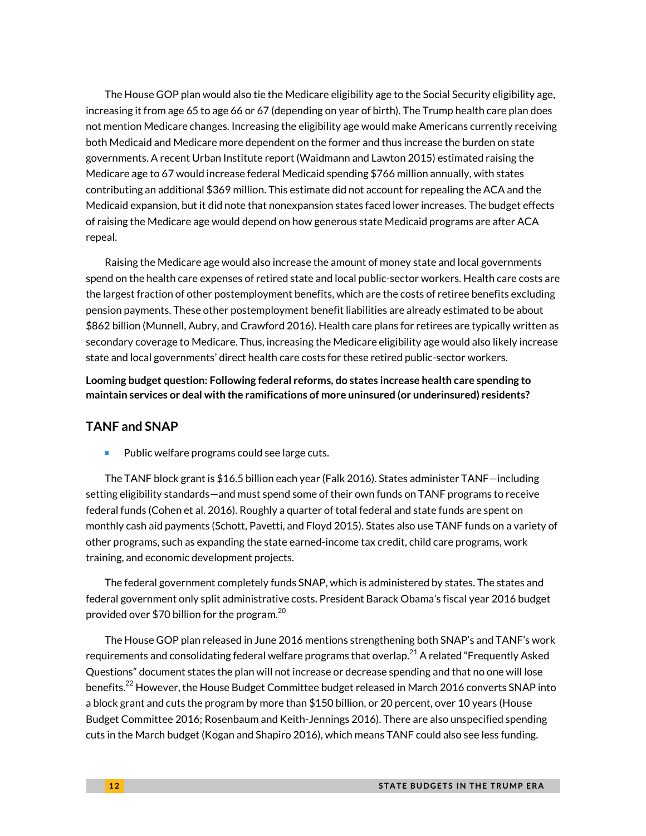The House GOP plan would also tie the Medicare eligibility age to the Social Security eligibility age, increasing it from age 65 to age 66 or 67 (depending on year of birth). The Trump health care plan does not mention Medicare changes. Increasing the eligibility age would make Americans currently receiving both Medicaid and Medicare more dependent on the former and thus increase the burden on state governments. A recent Urban Institute report (Waidmann and Lawton 2015) estimated raising the Medicare age to 67 would increase federal Medicaid spending \$766 million annually, with states contributing an additional \$369 million. This estimate did not account for repealing the ACA and the Medicaid expansion, but it did note that nonexpansion states faced lower increases. The budget effects of raising the Medicare age would depend on how generous state Medicaid programs are after ACA repeal.

Raising the Medicare age would also increase the amount of money state and local governments spend on the health care expenses of retired state and local public-sector workers. Health care costs are the largest fraction of other postemployment benefits, which are the costs of retiree benefits excluding pension payments. These other postemployment benefit liabilities are already estimated to be about \$862 billion (Munnell, Aubry, and Crawford 2016). Health care plans for retirees are typically written as secondary coverage to Medicare. Thus, increasing the Medicare eligibility age would also likely increase state and local governments' direct health care costs for these retired public-sector workers.

**Looming budget question: Following federal reforms, do states increase health care spending to maintain services or deal with the ramifications of more uninsured (or underinsured) residents?** 

#### **TANF and SNAP**

Public welfare programs could see large cuts.

The TANF block grant is \$16.5 billion each year (Falk 2016). States administer TANF—including setting eligibility standards—and must spend some of their own funds on TANF programs to receive federal funds (Cohen et al. 2016). Roughly a quarter of total federal and state funds are spent on monthly cash aid payments (Schott, Pavetti, and Floyd 2015). States also use TANF funds on a variety of other programs, such as expanding the state earned-income tax credit, child care programs, work training, and economic development projects.

The federal government completely funds SNAP, which is administered by states. The states and federal government only split administrative costs. President Barack Obama's fiscal year 2016 budget provided over \$70 billion for the program. $^{20}$  $^{20}$  $^{20}$ 

The House GOP plan released in June 2016 mentions strengthening both SNAP's and TANF's work requirements and consolidating federal welfare programs that overlap. $^{21}$  $^{21}$  $^{21}$  A related "Frequently Asked Questions" document states the plan will not increase or decrease spending and that no one will lose benefits.<sup>[22](#page-18-2)</sup> However, the House Budget Committee budget released in March 2016 converts SNAP into a block grant and cuts the program by more than \$150 billion, or 20 percent, over 10 years (House Budget Committee 2016; Rosenbaum and Keith-Jennings 2016). There are also unspecified spending cuts in the March budget (Kogan and Shapiro 2016), which means TANF could also see less funding.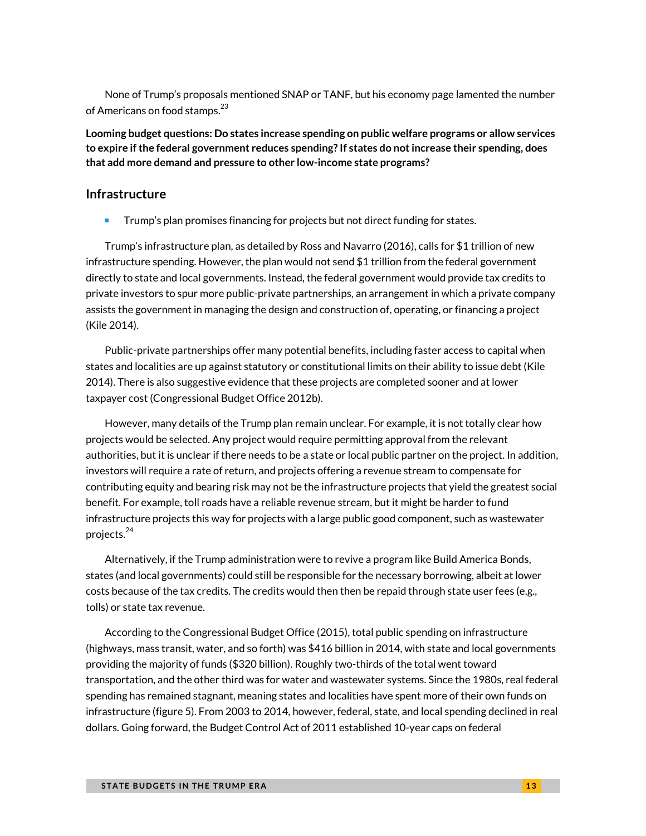None of Trump's proposals mentioned SNAP or TANF, but his economy page lamented the number of Americans on food stamps.<sup>[23](#page-18-3)</sup>

**Looming budget questions: Do states increase spending on public welfare programs or allow services to expire if the federal government reduces spending? If states do not increase their spending, does that add more demand and pressure to other low-income state programs?**

#### **Infrastructure**

**Trump's plan promises financing for projects but not direct funding for states.** 

Trump's infrastructure plan, as detailed by Ross and Navarro (2016), calls for \$1 trillion of new infrastructure spending. However, the plan would not send \$1 trillion from the federal government directly to state and local governments. Instead, the federal government would provide tax credits to private investors to spur more public-private partnerships, an arrangement in which a private company assists the government in managing the design and construction of, operating, or financing a project (Kile 2014).

Public-private partnerships offer many potential benefits, including faster access to capital when states and localities are up against statutory or constitutional limits on their ability to issue debt (Kile 2014). There is also suggestive evidence that these projects are completed sooner and at lower taxpayer cost (Congressional Budget Office 2012b).

However, many details of the Trump plan remain unclear. For example, it is not totally clear how projects would be selected. Any project would require permitting approval from the relevant authorities, but it is unclear if there needs to be a state or local public partner on the project. In addition, investors will require a rate of return, and projects offering a revenue stream to compensate for contributing equity and bearing risk may not be the infrastructure projects that yield the greatest social benefit. For example, toll roads have a reliable revenue stream, but it might be harder to fund infrastructure projects this way for projects with a large public good component, such as wastewater projects. [24](#page-18-4)

Alternatively, if the Trump administration were to revive a program like Build America Bonds, states (and local governments) could still be responsible for the necessary borrowing, albeit at lower costs because of the tax credits. The credits would then then be repaid through state user fees (e.g., tolls) or state tax revenue.

According to the Congressional Budget Office (2015), total public spending on infrastructure (highways, mass transit, water, and so forth) was \$416 billion in 2014, with state and local governments providing the majority of funds (\$320 billion). Roughly two-thirds of the total went toward transportation, and the other third was for water and wastewater systems. Since the 1980s, real federal spending has remained stagnant, meaning states and localities have spent more of their own funds on infrastructure (figure 5). From 2003 to 2014, however, federal, state, and local spending declined in real dollars. Going forward, the Budget Control Act of 2011 established 10-year caps on federal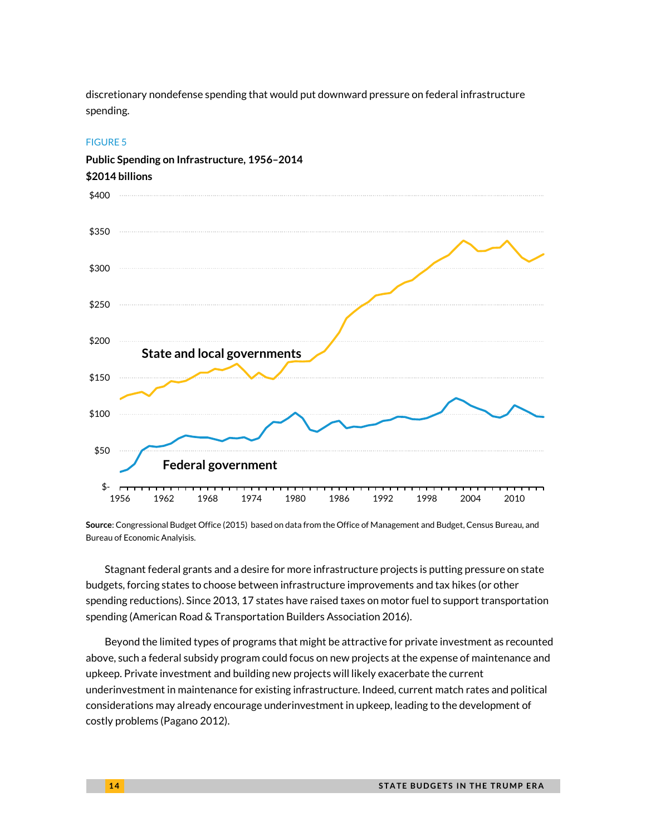discretionary nondefense spending that would put downward pressure on federal infrastructure spending.

#### FIGURE 5



**Public Spending on Infrastructure, 1956–2014**

**Source**: Congressional Budget Office (2015) based on data from the Office of Management and Budget, Census Bureau, and Bureau of Economic Analyisis.

Stagnant federal grants and a desire for more infrastructure projects is putting pressure on state budgets, forcing states to choose between infrastructure improvements and tax hikes (or other spending reductions). Since 2013, 17 states have raised taxes on motor fuel to support transportation spending (American Road & Transportation Builders Association 2016).

Beyond the limited types of programs that might be attractive for private investment as recounted above, such a federal subsidy program could focus on new projects at the expense of maintenance and upkeep. Private investment and building new projects will likely exacerbate the current underinvestment in maintenance for existing infrastructure. Indeed, current match rates and political considerations may already encourage underinvestment in upkeep, leading to the development of costly problems (Pagano 2012).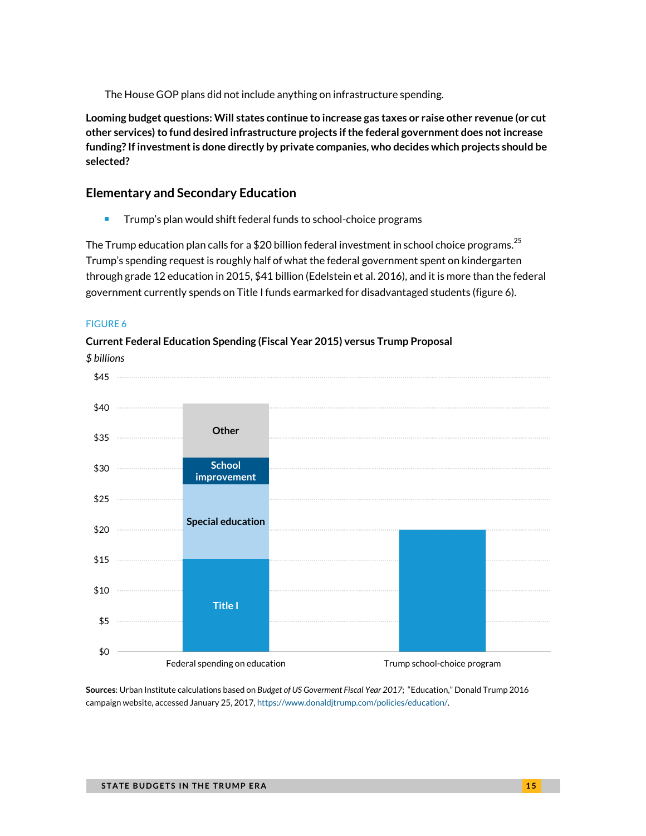The House GOP plans did not include anything on infrastructure spending.

**Looming budget questions: Will states continue to increase gas taxes or raise other revenue (or cut other services) to fund desired infrastructure projects if the federal government does not increase funding? If investment is done directly by private companies, who decides which projects should be selected?** 

#### **Elementary and Secondary Education**

**Trump's plan would shift federal funds to school-choice programs** 

The Trump education plan calls for a \$20 billion federal investment in school choice programs.<sup>[25](#page-18-5)</sup> Trump's spending request is roughly half of what the federal government spent on kindergarten through grade 12 education in 2015, \$41 billion (Edelstein et al. 2016), and it is more than the federal government currently spends on Title I funds earmarked for disadvantaged students (figure 6).

#### FIGURE 6

#### **Current Federal Education Spending (Fiscal Year 2015) versus Trump Proposal**



**Sources**: Urban Institute calculations based on *Budget of US Goverment Fiscal Year 2017*; "Education," Donald Trump 2016 campaign website, accessed January 25, 2017[, https://www.donaldjtrump.com/policies/education/.](https://www.donaldjtrump.com/policies/education/)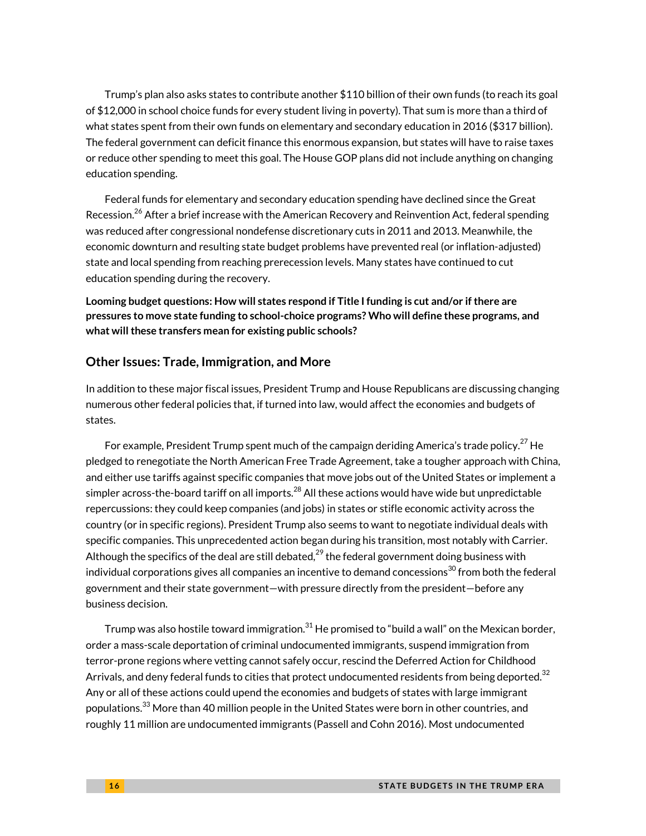Trump's plan also asks states to contribute another \$110 billion of their own funds (to reach its goal of \$12,000 in school choice funds for every student living in poverty). That sum is more than a third of what states spent from their own funds on elementary and secondary education in 2016 (\$317 billion). The federal government can deficit finance this enormous expansion, but states will have to raise taxes or reduce other spending to meet this goal. The House GOP plans did not include anything on changing education spending.

Federal funds for elementary and secondary education spending have declined since the Great Recession.<sup>[26](#page-18-6)</sup> After a brief increase with the American Recovery and Reinvention Act, federal spending was reduced after congressional nondefense discretionary cuts in 2011 and 2013. Meanwhile, the economic downturn and resulting state budget problems have prevented real (or inflation-adjusted) state and local spending from reaching prerecession levels. Many states have continued to cut education spending during the recovery.

**Looming budget questions: How will states respond if Title I funding is cut and/or if there are pressures to move state funding to school-choice programs? Who will define these programs, and what will these transfers mean for existing public schools?**

#### **Other Issues: Trade, Immigration, and More**

In addition to these major fiscal issues, President Trump and House Republicans are discussing changing numerous other federal policies that, if turned into law, would affect the economies and budgets of states.

For example, President Trump spent much of the campaign deriding America's trade policy. $^{27}$  $^{27}$  $^{27}$  He pledged to renegotiate the North American Free Trade Agreement, take a tougher approach with China, and either use tariffs against specific companies that move jobs out of the United States or implement a simpler across-the-board tariff on all imports. $^\mathrm{28}$  $^\mathrm{28}$  $^\mathrm{28}$  All these actions would have wide but unpredictable repercussions: they could keep companies (and jobs) in states or stifle economic activity across the country (or in specific regions). President Trump also seems to want to negotiate individual deals with specific companies. This unprecedented action began during his transition, most notably with Carrier. Although the specifics of the deal are still debated, $^{29}$  $^{29}$  $^{29}$  the federal government doing business with individual corporations gives all companies an incentive to demand concessions $^{\rm 30}$  $^{\rm 30}$  $^{\rm 30}$  from both the federal government and their state government—with pressure directly from the president—before any business decision.

Trump was also hostile toward immigration. $^{\rm 31}$  $^{\rm 31}$  $^{\rm 31}$  He promised to "build a wall" on the Mexican border, order a mass-scale deportation of criminal undocumented immigrants, suspend immigration from terror-prone regions where vetting cannot safely occur, rescind the Deferred Action for Childhood Arrivals, and deny federal funds to cities that protect undocumented residents from being deported.<sup>[32](#page-18-12)</sup> Any or all of these actions could upend the economies and budgets of states with large immigrant populations.<sup>[33](#page-18-13)</sup> More than 40 million people in the United States were born in other countries, and roughly 11 million are undocumented immigrants (Passell and Cohn 2016). Most undocumented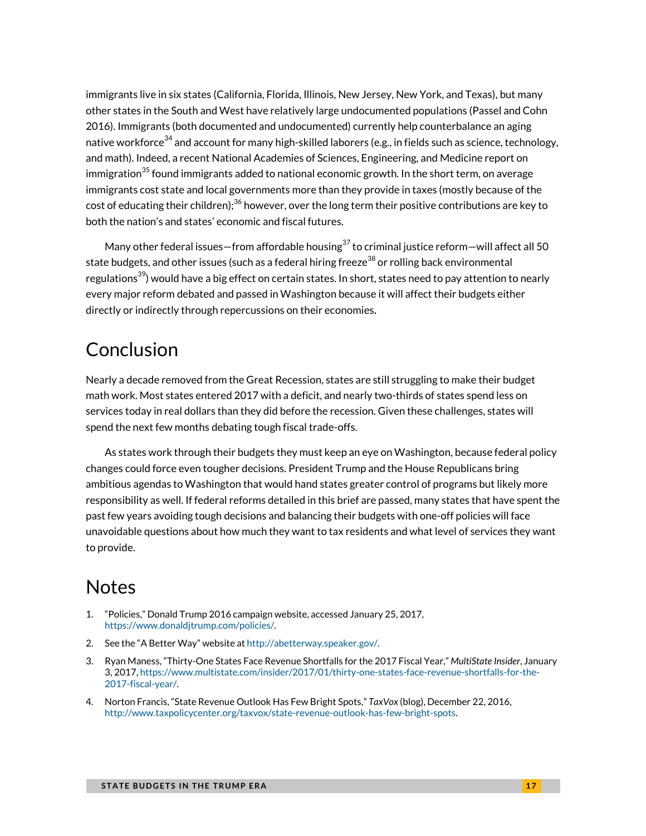immigrants live in six states (California, Florida, Illinois, New Jersey, New York, and Texas), but many other states in the South and West have relatively large undocumented populations (Passel and Cohn 2016). Immigrants (both documented and undocumented) currently help counterbalance an aging native workforce $^{34}$  $^{34}$  $^{34}$  and account for many high-skilled laborers (e.g., in fields such as science, technology, and math). Indeed, a recent National Academies of Sciences, Engineering, and Medicine report on immigration $^{35}$  found immigrants added to national economic growth. In the short term, on average immigrants cost state and local governments more than they provide in taxes (mostly because of the cost of educating their children); $^{36}$  $^{36}$  $^{36}$  however, over the long term their positive contributions are key to both the nation's and states' economic and fiscal futures.

Many other federal issues—from affordable housing<sup>37</sup> to criminal justice reform—will affect all 50 state budgets, and other issues (such as a federal hiring freeze $^{38}$  $^{38}$  $^{38}$  or rolling back environmental regulations $^{39}$ ) would have a big effect on certain states. In short, states need to pay attention to nearly every major reform debated and passed in Washington because it will affect their budgets either directly or indirectly through repercussions on their economies.

## Conclusion

Nearly a decade removed from the Great Recession, states are still struggling to make their budget math work. Most states entered 2017 with a deficit, and nearly two-thirds of states spend less on services today in real dollars than they did before the recession. Given these challenges, states will spend the next few months debating tough fiscal trade-offs.

As states work through their budgets they must keep an eye on Washington, because federal policy changes could force even tougher decisions. President Trump and the House Republicans bring ambitious agendas to Washington that would hand states greater control of programs but likely more responsibility as well. If federal reforms detailed in this brief are passed, many states that have spent the past few years avoiding tough decisions and balancing their budgets with one-off policies will face unavoidable questions about how much they want to tax residents and what level of services they want to provide.

### **Notes**

- <span id="page-16-0"></span>1. "Policies," Donald Trump 2016 campaign website, accessed January 25, 2017, [https://www.donaldjtrump.com/policies/.](https://www.donaldjtrump.com/policies/)
- <span id="page-16-1"></span>2. See the "A Better Way" website a[t http://abetterway.speaker.gov/.](http://abetterway.speaker.gov/)
- <span id="page-16-2"></span>3. Ryan Maness, "Thirty-One States Face Revenue Shortfalls for the 2017 Fiscal Year," *MultiState Insider*, January 3, 2017[, https://www.multistate.com/insider/2017/01/thirty-one-states-face-revenue-shortfalls-for-the-](https://www.multistate.com/insider/2017/01/thirty-one-states-face-revenue-shortfalls-for-the-2017-fiscal-year/)[2017-fiscal-year/.](https://www.multistate.com/insider/2017/01/thirty-one-states-face-revenue-shortfalls-for-the-2017-fiscal-year/)
- <span id="page-16-3"></span>4. Norton Francis, "State Revenue Outlook Has Few Bright Spots," *TaxVox* (blog), December 22, 2016, [http://www.taxpolicycenter.org/taxvox/state-revenue-outlook-has-few-bright-spots.](http://www.taxpolicycenter.org/taxvox/state-revenue-outlook-has-few-bright-spots)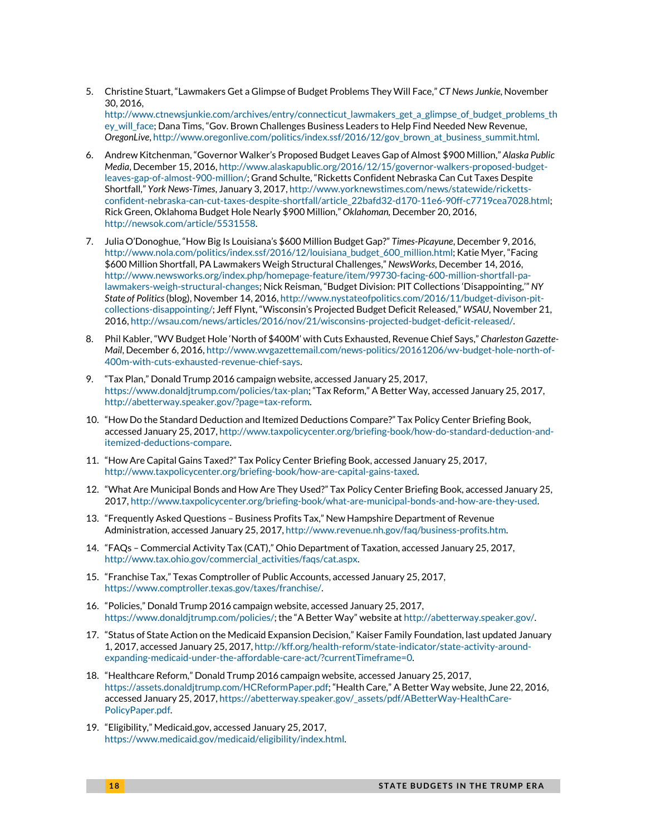<span id="page-17-0"></span>5. Christine Stuart, "Lawmakers Get a Glimpse of Budget Problems They Will Face," *CT News Junkie*, November 30, 2016,

[http://www.ctnewsjunkie.com/archives/entry/connecticut\\_lawmakers\\_get\\_a\\_glimpse\\_of\\_budget\\_problems\\_th](http://www.ctnewsjunkie.com/archives/entry/connecticut_lawmakers_get_a_glimpse_of_budget_problems_they_will_face) [ey\\_will\\_face;](http://www.ctnewsjunkie.com/archives/entry/connecticut_lawmakers_get_a_glimpse_of_budget_problems_they_will_face) Dana Tims, "Gov. Brown Challenges Business Leaders to Help Find Needed New Revenue, *OregonLive*[, http://www.oregonlive.com/politics/index.ssf/2016/12/gov\\_brown\\_at\\_business\\_summit.html.](http://www.oregonlive.com/politics/index.ssf/2016/12/gov_brown_at_business_summit.html)

- <span id="page-17-1"></span>6. Andrew Kitchenman, "Governor Walker's Proposed Budget Leaves Gap of Almost \$900 Million," *Alaska Public Media*, December 15, 2016[, http://www.alaskapublic.org/2016/12/15/governor-walkers-proposed-budget](http://www.alaskapublic.org/2016/12/15/governor-walkers-proposed-budget-leaves-gap-of-almost-900-million/)[leaves-gap-of-almost-900-million/;](http://www.alaskapublic.org/2016/12/15/governor-walkers-proposed-budget-leaves-gap-of-almost-900-million/) Grand Schulte, "Ricketts Confident Nebraska Can Cut Taxes Despite Shortfall," *York News-Times*, January 3, 2017[, http://www.yorknewstimes.com/news/statewide/ricketts](http://www.yorknewstimes.com/news/statewide/ricketts-confident-nebraska-can-cut-taxes-despite-shortfall/article_22bafd32-d170-11e6-90ff-c7719cea7028.html)[confident-nebraska-can-cut-taxes-despite-shortfall/article\\_22bafd32-d170-11e6-90ff-c7719cea7028.html;](http://www.yorknewstimes.com/news/statewide/ricketts-confident-nebraska-can-cut-taxes-despite-shortfall/article_22bafd32-d170-11e6-90ff-c7719cea7028.html)  Rick Green, Oklahoma Budget Hole Nearly \$900 Million," *Oklahoman,* December 20, 2016, [http://newsok.com/article/5531558.](http://newsok.com/article/5531558)
- <span id="page-17-2"></span>7. Julia O'Donoghue, "How Big Is Louisiana's \$600 Million Budget Gap?" *Times-Picayune*, December 9, 2016, [http://www.nola.com/politics/index.ssf/2016/12/louisiana\\_budget\\_600\\_million.html;](http://www.nola.com/politics/index.ssf/2016/12/louisiana_budget_600_million.html) Katie Myer, "Facing \$600 Million Shortfall, PA Lawmakers Weigh Structural Challenges," *NewsWorks*, December 14, 2016, [http://www.newsworks.org/index.php/homepage-feature/item/99730-facing-600-million-shortfall-pa](http://www.newsworks.org/index.php/homepage-feature/item/99730-facing-600-million-shortfall-pa-lawmakers-weigh-structural-changes)[lawmakers-weigh-structural-changes;](http://www.newsworks.org/index.php/homepage-feature/item/99730-facing-600-million-shortfall-pa-lawmakers-weigh-structural-changes) Nick Reisman, "Budget Division: PIT Collections 'Disappointing,'" *NY State of Politics*(blog), November 14, 2016[, http://www.nystateofpolitics.com/2016/11/budget-divison-pit](http://www.nystateofpolitics.com/2016/11/budget-divison-pit-collections-disappointing/)[collections-disappointing/;](http://www.nystateofpolitics.com/2016/11/budget-divison-pit-collections-disappointing/) Jeff Flynt, "Wisconsin's Projected Budget Deficit Released," *WSAU*, November 21, 2016[, http://wsau.com/news/articles/2016/nov/21/wisconsins-projected-budget-deficit-released/.](http://wsau.com/news/articles/2016/nov/21/wisconsins-projected-budget-deficit-released/)
- <span id="page-17-3"></span>8. Phil Kabler, "WV Budget Hole 'North of \$400M' with Cuts Exhausted, Revenue Chief Says," *Charleston Gazette-Mail*, December 6, 2016[, http://www.wvgazettemail.com/news-politics/20161206/wv-budget-hole-north-of-](http://www.wvgazettemail.com/news-politics/20161206/wv-budget-hole-north-of-400m-with-cuts-exhausted-revenue-chief-says)[400m-with-cuts-exhausted-revenue-chief-says.](http://www.wvgazettemail.com/news-politics/20161206/wv-budget-hole-north-of-400m-with-cuts-exhausted-revenue-chief-says)
- <span id="page-17-4"></span>9. "Tax Plan," Donald Trump 2016 campaign website, accessed January 25, 2017, [https://www.donaldjtrump.com/policies/tax-plan;](https://www.donaldjtrump.com/policies/tax-plan) "Tax Reform," A Better Way, accessed January 25, 2017, [http://abetterway.speaker.gov/?page=tax-reform.](http://abetterway.speaker.gov/?page=tax-reform)
- <span id="page-17-5"></span>10. "How Do the Standard Deduction and Itemized Deductions Compare?" Tax Policy Center Briefing Book, accessed January 25, 2017[, http://www.taxpolicycenter.org/briefing-book/how-do-standard-deduction-and](http://www.taxpolicycenter.org/briefing-book/how-do-standard-deduction-and-itemized-deductions-compare)[itemized-deductions-compare.](http://www.taxpolicycenter.org/briefing-book/how-do-standard-deduction-and-itemized-deductions-compare)
- <span id="page-17-6"></span>11. "How Are Capital Gains Taxed?" Tax Policy Center Briefing Book, accessed January 25, 2017, [http://www.taxpolicycenter.org/briefing-book/how-are-capital-gains-taxed.](http://www.taxpolicycenter.org/briefing-book/how-are-capital-gains-taxed)
- <span id="page-17-7"></span>12. "What Are Municipal Bonds and How Are They Used?" Tax Policy Center Briefing Book, accessed January 25, 2017[, http://www.taxpolicycenter.org/briefing-book/what-are-municipal-bonds-and-how-are-they-used.](http://www.taxpolicycenter.org/briefing-book/what-are-municipal-bonds-and-how-are-they-used)
- <span id="page-17-8"></span>13. "Frequently Asked Questions – Business Profits Tax," New Hampshire Department of Revenue Administration, accessed January 25, 2017[, http://www.revenue.nh.gov/faq/business-profits.htm.](http://www.revenue.nh.gov/faq/business-profits.htm)
- <span id="page-17-9"></span>14. "FAQs – Commercial Activity Tax (CAT)," Ohio Department of Taxation, accessed January 25, 2017, [http://www.tax.ohio.gov/commercial\\_activities/faqs/cat.aspx.](http://www.tax.ohio.gov/commercial_activities/faqs/cat.aspx)
- <span id="page-17-10"></span>15. "Franchise Tax," Texas Comptroller of Public Accounts, accessed January 25, 2017, [https://www.comptroller.texas.gov/taxes/franchise/.](https://www.comptroller.texas.gov/taxes/franchise/)
- <span id="page-17-11"></span>16. "Policies," Donald Trump 2016 campaign website, accessed January 25, 2017, [https://www.donaldjtrump.com/policies/;](https://www.donaldjtrump.com/policies/) the "A Better Way" website a[t http://abetterway.speaker.gov/.](http://abetterway.speaker.gov/)
- <span id="page-17-12"></span>17. "Status of State Action on the Medicaid Expansion Decision," Kaiser Family Foundation, last updated January 1, 2017, accessed January 25, 2017[, http://kff.org/health-reform/state-indicator/state-activity-around](http://kff.org/health-reform/state-indicator/state-activity-around-expanding-medicaid-under-the-affordable-care-act/?currentTimeframe=0)[expanding-medicaid-under-the-affordable-care-act/?currentTimeframe=0.](http://kff.org/health-reform/state-indicator/state-activity-around-expanding-medicaid-under-the-affordable-care-act/?currentTimeframe=0)
- <span id="page-17-13"></span>18. "Healthcare Reform," Donald Trump 2016 campaign website, accessed January 25, 2017, [https://assets.donaldjtrump.com/HCReformPaper.pdf;](https://assets.donaldjtrump.com/HCReformPaper.pdf) "Health Care," A Better Way website, June 22, 2016, accessed January 25, 2017[, https://abetterway.speaker.gov/\\_assets/pdf/ABetterWay-HealthCare-](https://abetterway.speaker.gov/_assets/pdf/ABetterWay-HealthCare-PolicyPaper.pdf)[PolicyPaper.pdf.](https://abetterway.speaker.gov/_assets/pdf/ABetterWay-HealthCare-PolicyPaper.pdf)
- <span id="page-17-14"></span>19. "Eligibility," Medicaid.gov, accessed January 25, 2017, [https://www.medicaid.gov/medicaid/eligibility/index.html.](https://www.medicaid.gov/medicaid/eligibility/index.html)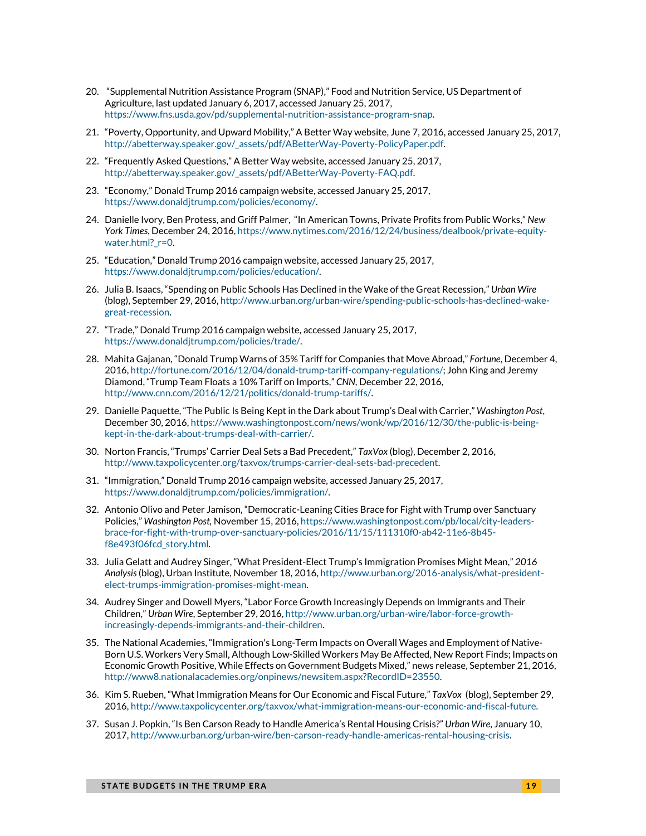- <span id="page-18-0"></span>20. "Supplemental Nutrition Assistance Program (SNAP)," Food and Nutrition Service, US Department of Agriculture, last updated January 6, 2017, accessed January 25, 2017, [https://www.fns.usda.gov/pd/supplemental-nutrition-assistance-program-snap.](https://www.fns.usda.gov/pd/supplemental-nutrition-assistance-program-snap)
- <span id="page-18-1"></span>21. "Poverty, Opportunity, and Upward Mobility," A Better Way website, June 7, 2016, accessed January 25, 2017, [http://abetterway.speaker.gov/\\_assets/pdf/ABetterWay-Poverty-PolicyPaper.pdf.](http://abetterway.speaker.gov/_assets/pdf/ABetterWay-Poverty-PolicyPaper.pdf)
- <span id="page-18-2"></span>22. "Frequently Asked Questions," A Better Way website, accessed January 25, 2017, [http://abetterway.speaker.gov/\\_assets/pdf/ABetterWay-Poverty-FAQ.pdf.](http://abetterway.speaker.gov/_assets/pdf/ABetterWay-Poverty-FAQ.pdf)
- <span id="page-18-3"></span>23. "Economy," Donald Trump 2016 campaign website, accessed January 25, 2017, [https://www.donaldjtrump.com/policies/economy/.](https://www.donaldjtrump.com/policies/economy/)
- <span id="page-18-4"></span>24. Danielle Ivory, Ben Protess, and Griff Palmer, "In American Towns, Private Profits from Public Works," *New York Times*, December 24, 2016[, https://www.nytimes.com/2016/12/24/business/dealbook/private-equity](https://www.nytimes.com/2016/12/24/business/dealbook/private-equity-water.html?_r=0)[water.html?\\_r=0.](https://www.nytimes.com/2016/12/24/business/dealbook/private-equity-water.html?_r=0)
- <span id="page-18-5"></span>25. "Education," Donald Trump 2016 campaign website, accessed January 25, 2017, [https://www.donaldjtrump.com/policies/education/.](https://www.donaldjtrump.com/policies/education/)
- <span id="page-18-6"></span>26. Julia B. Isaacs, "Spending on Public Schools Has Declined in the Wake of the Great Recession," *Urban Wire* (blog), September 29, 2016[, http://www.urban.org/urban-wire/spending-public-schools-has-declined-wake](http://www.urban.org/urban-wire/spending-public-schools-has-declined-wake-great-recession)[great-recession.](http://www.urban.org/urban-wire/spending-public-schools-has-declined-wake-great-recession)
- <span id="page-18-7"></span>27. "Trade," Donald Trump 2016 campaign website, accessed January 25, 2017, [https://www.donaldjtrump.com/policies/trade/.](https://www.donaldjtrump.com/policies/trade/)
- <span id="page-18-8"></span>28. Mahita Gajanan, "Donald Trump Warns of 35% Tariff for Companies that Move Abroad," *Fortune*, December 4, 2016[, http://fortune.com/2016/12/04/donald-trump-tariff-company-regulations/;](http://fortune.com/2016/12/04/donald-trump-tariff-company-regulations/) John King and Jeremy Diamond, "Trump Team Floats a 10% Tariff on Imports," *CNN*, December 22, 2016, [http://www.cnn.com/2016/12/21/politics/donald-trump-tariffs/.](http://www.cnn.com/2016/12/21/politics/donald-trump-tariffs/)
- <span id="page-18-9"></span>29. Danielle Paquette, "The Public Is Being Kept in the Dark about Trump's Deal with Carrier," *Washington Post*, December 30, 2016[, https://www.washingtonpost.com/news/wonk/wp/2016/12/30/the-public-is-being](https://www.washingtonpost.com/news/wonk/wp/2016/12/30/the-public-is-being-kept-in-the-dark-about-trumps-deal-with-carrier/)[kept-in-the-dark-about-trumps-deal-with-carrier/.](https://www.washingtonpost.com/news/wonk/wp/2016/12/30/the-public-is-being-kept-in-the-dark-about-trumps-deal-with-carrier/)
- <span id="page-18-10"></span>30. Norton Francis, "Trumps' Carrier Deal Sets a Bad Precedent," *TaxVox* (blog), December 2, 2016, [http://www.taxpolicycenter.org/taxvox/trumps-carrier-deal-sets-bad-precedent.](http://www.taxpolicycenter.org/taxvox/trumps-carrier-deal-sets-bad-precedent)
- <span id="page-18-11"></span>31. "Immigration," Donald Trump 2016 campaign website, accessed January 25, 2017, [https://www.donaldjtrump.com/policies/immigration/.](https://www.donaldjtrump.com/policies/immigration/)
- <span id="page-18-12"></span>32. Antonio Olivo and Peter Jamison, "Democratic-Leaning Cities Brace for Fight with Trump over Sanctuary Policies," *Washington Post,* November 15, 2016[, https://www.washingtonpost.com/pb/local/city-leaders](https://www.washingtonpost.com/pb/local/city-leaders-brace-for-fight-with-trump-over-sanctuary-policies/2016/11/15/111310f0-ab42-11e6-8b45-f8e493f06fcd_story.html)[brace-for-fight-with-trump-over-sanctuary-policies/2016/11/15/111310f0-ab42-11e6-8b45](https://www.washingtonpost.com/pb/local/city-leaders-brace-for-fight-with-trump-over-sanctuary-policies/2016/11/15/111310f0-ab42-11e6-8b45-f8e493f06fcd_story.html) [f8e493f06fcd\\_story.html.](https://www.washingtonpost.com/pb/local/city-leaders-brace-for-fight-with-trump-over-sanctuary-policies/2016/11/15/111310f0-ab42-11e6-8b45-f8e493f06fcd_story.html)
- <span id="page-18-13"></span>33. Julia Gelatt and Audrey Singer, "What President-Elect Trump's Immigration Promises Might Mean," *2016 Analysis*(blog), Urban Institute, November 18, 2016[, http://www.urban.org/2016-analysis/what-president](http://www.urban.org/2016-analysis/what-president-elect-trumps-immigration-promises-might-mean)[elect-trumps-immigration-promises-might-mean.](http://www.urban.org/2016-analysis/what-president-elect-trumps-immigration-promises-might-mean)
- <span id="page-18-14"></span>34. Audrey Singer and Dowell Myers, "Labor Force Growth Increasingly Depends on Immigrants and Their Children," *Urban Wire*, September 29, 2016[, http://www.urban.org/urban-wire/labor-force-growth](http://www.urban.org/urban-wire/labor-force-growth-increasingly-depends-immigrants-and-their-children)[increasingly-depends-immigrants-and-their-children.](http://www.urban.org/urban-wire/labor-force-growth-increasingly-depends-immigrants-and-their-children)
- <span id="page-18-15"></span>35. The National Academies, "Immigration's Long-Term Impacts on Overall Wages and Employment of Native-Born U.S. Workers Very Small, Although Low-Skilled Workers May Be Affected, New Report Finds; Impacts on Economic Growth Positive, While Effects on Government Budgets Mixed," news release, September 21, 2016, [http://www8.nationalacademies.org/onpinews/newsitem.aspx?RecordID=23550.](http://www8.nationalacademies.org/onpinews/newsitem.aspx?RecordID=23550)
- <span id="page-18-16"></span>36. Kim S. Rueben, "What Immigration Means for Our Economic and Fiscal Future," *TaxVox* (blog), September 29, 2016[, http://www.taxpolicycenter.org/taxvox/what-immigration-means-our-economic-and-fiscal-future.](http://www.taxpolicycenter.org/taxvox/what-immigration-means-our-economic-and-fiscal-future)
- <span id="page-18-17"></span>37. Susan J. Popkin, "Is Ben Carson Ready to Handle America's Rental Housing Crisis?" *Urban Wire*, January 10, 2017[, http://www.urban.org/urban-wire/ben-carson-ready-handle-americas-rental-housing-crisis.](http://www.urban.org/urban-wire/ben-carson-ready-handle-americas-rental-housing-crisis)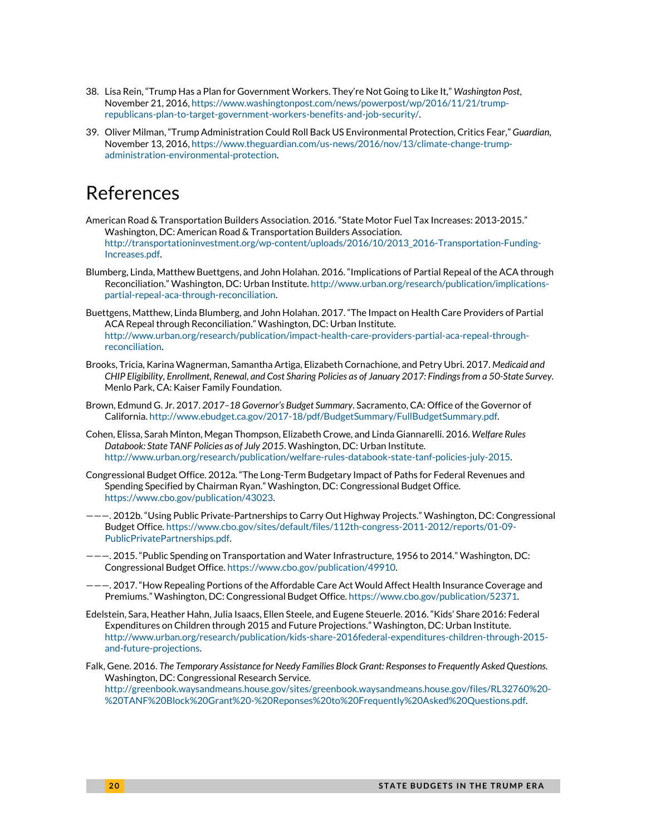- <span id="page-19-0"></span>38. Lisa Rein, "Trump Has a Plan for Government Workers. They're Not Going to Like It," *Washington Post*, November 21, 2016[, https://www.washingtonpost.com/news/powerpost/wp/2016/11/21/trump](https://www.washingtonpost.com/news/powerpost/wp/2016/11/21/trump-republicans-plan-to-target-government-workers-benefits-and-job-security/)[republicans-plan-to-target-government-workers-benefits-and-job-security/.](https://www.washingtonpost.com/news/powerpost/wp/2016/11/21/trump-republicans-plan-to-target-government-workers-benefits-and-job-security/)
- <span id="page-19-1"></span>39. Oliver Milman, "Trump Administration Could Roll Back US Environmental Protection, Critics Fear," *Guardian*, November 13, 2016[, https://www.theguardian.com/us-news/2016/nov/13/climate-change-trump](https://www.theguardian.com/us-news/2016/nov/13/climate-change-trump-administration-environmental-protection)[administration-environmental-protection.](https://www.theguardian.com/us-news/2016/nov/13/climate-change-trump-administration-environmental-protection)

### References

- American Road & Transportation Builders Association. 2016. "State Motor Fuel Tax Increases: 2013-2015." Washington, DC: American Road & Transportation Builders Association. [http://transportationinvestment.org/wp-content/uploads/2016/10/2013\\_2016-Transportation-Funding-](http://transportationinvestment.org/wp-content/uploads/2016/10/2013_2016-Transportation-Funding-Increases.pdf)[Increases.pdf.](http://transportationinvestment.org/wp-content/uploads/2016/10/2013_2016-Transportation-Funding-Increases.pdf)
- Blumberg, Linda, Matthew Buettgens, and John Holahan. 2016. "Implications of Partial Repeal of the ACA through Reconciliation." Washington, DC: Urban Institute[. http://www.urban.org/research/publication/implications](http://www.urban.org/research/publication/implications-partial-repeal-aca-through-reconciliation)[partial-repeal-aca-through-reconciliation.](http://www.urban.org/research/publication/implications-partial-repeal-aca-through-reconciliation)
- Buettgens, Matthew, Linda Blumberg, and John Holahan. 2017. "The Impact on Health Care Providers of Partial ACA Repeal through Reconciliation." Washington, DC: Urban Institute. [http://www.urban.org/research/publication/impact-health-care-providers-partial-aca-repeal-through](http://www.urban.org/research/publication/impact-health-care-providers-partial-aca-repeal-through-reconciliation)[reconciliation.](http://www.urban.org/research/publication/impact-health-care-providers-partial-aca-repeal-through-reconciliation)
- Brooks, Tricia, Karina Wagnerman, Samantha Artiga, Elizabeth Cornachione, and Petry Ubri. 2017. *Medicaid and CHIP Eligibility, Enrollment, Renewal, and Cost Sharing Policies as of January 2017: Findings from a 50-State Survey*. Menlo Park, CA: Kaiser Family Foundation.
- Brown, Edmund G. Jr. 2017. *2017–18 Governor's Budget Summary*. Sacramento, CA: Office of the Governor of California[. http://www.ebudget.ca.gov/2017-18/pdf/BudgetSummary/FullBudgetSummary.pdf.](http://www.ebudget.ca.gov/2017-18/pdf/BudgetSummary/FullBudgetSummary.pdf)
- Cohen, Elissa, Sarah Minton, Megan Thompson, Elizabeth Crowe, and Linda Giannarelli. 2016. *Welfare Rules Databook: State TANF Policies as of July 2015*. Washington, DC: Urban Institute. [http://www.urban.org/research/publication/welfare-rules-databook-state-tanf-policies-july-2015.](http://www.urban.org/research/publication/welfare-rules-databook-state-tanf-policies-july-2015)
- Congressional Budget Office. 2012a. "The Long-Term Budgetary Impact of Paths for Federal Revenues and Spending Specified by Chairman Ryan." Washington, DC: Congressional Budget Office. [https://www.cbo.gov/publication/43023.](https://www.cbo.gov/publication/43023)
- ———. 2012b. "Using Public Private-Partnerships to Carry Out Highway Projects." Washington, DC: Congressional Budget Office[. https://www.cbo.gov/sites/default/files/112th-congress-2011-2012/reports/01-09-](https://www.cbo.gov/sites/default/files/112th-congress-2011-2012/reports/01-09-PublicPrivatePartnerships.pdf) [PublicPrivatePartnerships.pdf.](https://www.cbo.gov/sites/default/files/112th-congress-2011-2012/reports/01-09-PublicPrivatePartnerships.pdf)
- ———. 2015. "Public Spending on Transportation and Water Infrastructure, 1956 to 2014." Washington, DC: Congressional Budget Office[. https://www.cbo.gov/publication/49910.](https://www.cbo.gov/publication/49910)
- ———. 2017. "How Repealing Portions of the Affordable Care Act Would Affect Health Insurance Coverage and Premiums." Washington, DC: Congressional Budget Office[. https://www.cbo.gov/publication/52371.](https://www.cbo.gov/publication/52371)
- Edelstein, Sara, Heather Hahn, Julia Isaacs, Ellen Steele, and Eugene Steuerle. 2016. "Kids' Share 2016: Federal Expenditures on Children through 2015 and Future Projections." Washington, DC: Urban Institute. [http://www.urban.org/research/publication/kids-share-2016federal-expenditures-children-through-2015](http://www.urban.org/research/publication/kids-share-2016federal-expenditures-children-through-2015-and-future-projections) [and-future-projections.](http://www.urban.org/research/publication/kids-share-2016federal-expenditures-children-through-2015-and-future-projections)
- Falk, Gene. 2016. *The Temporary Assistance for Needy Families Block Grant: Responses to Frequently Asked Questions*. Washington, DC: Congressional Research Service.

[http://greenbook.waysandmeans.house.gov/sites/greenbook.waysandmeans.house.gov/files/RL32760%20-](http://greenbook.waysandmeans.house.gov/sites/greenbook.waysandmeans.house.gov/files/RL32760%20-%20TANF%20Block%20Grant%20-%20Reponses%20to%20Frequently%20Asked%20Questions.pdf) [%20TANF%20Block%20Grant%20-%20Reponses%20to%20Frequently%20Asked%20Questions.pdf.](http://greenbook.waysandmeans.house.gov/sites/greenbook.waysandmeans.house.gov/files/RL32760%20-%20TANF%20Block%20Grant%20-%20Reponses%20to%20Frequently%20Asked%20Questions.pdf)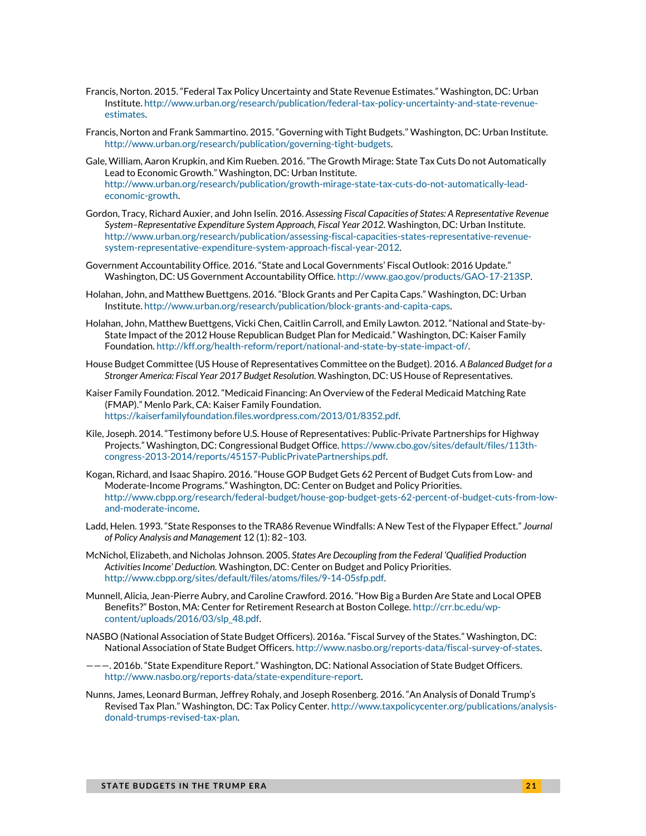- Francis, Norton. 2015. "Federal Tax Policy Uncertainty and State Revenue Estimates." Washington, DC: Urban Institute[. http://www.urban.org/research/publication/federal-tax-policy-uncertainty-and-state-revenue](http://www.urban.org/research/publication/federal-tax-policy-uncertainty-and-state-revenue-estimates)[estimates.](http://www.urban.org/research/publication/federal-tax-policy-uncertainty-and-state-revenue-estimates)
- Francis, Norton and Frank Sammartino. 2015. "Governing with Tight Budgets." Washington, DC: Urban Institute. [http://www.urban.org/research/publication/governing-tight-budgets.](http://www.urban.org/research/publication/governing-tight-budgets)
- Gale, William, Aaron Krupkin, and Kim Rueben. 2016. "The Growth Mirage: State Tax Cuts Do not Automatically Lead to Economic Growth." Washington, DC: Urban Institute. [http://www.urban.org/research/publication/growth-mirage-state-tax-cuts-do-not-automatically-lead](http://www.urban.org/research/publication/growth-mirage-state-tax-cuts-do-not-automatically-lead-economic-growth)[economic-growth.](http://www.urban.org/research/publication/growth-mirage-state-tax-cuts-do-not-automatically-lead-economic-growth)
- Gordon, Tracy, Richard Auxier, and John Iselin. 2016. *Assessing Fiscal Capacities of States: A Representative Revenue System–Representative Expenditure System Approach, Fiscal Year 2012.* Washington, DC: Urban Institute. [http://www.urban.org/research/publication/assessing-fiscal-capacities-states-representative-revenue](http://www.urban.org/research/publication/assessing-fiscal-capacities-states-representative-revenue-system-representative-expenditure-system-approach-fiscal-year-2012)[system-representative-expenditure-system-approach-fiscal-year-2012.](http://www.urban.org/research/publication/assessing-fiscal-capacities-states-representative-revenue-system-representative-expenditure-system-approach-fiscal-year-2012)
- Government Accountability Office. 2016. "State and Local Governments' Fiscal Outlook: 2016 Update." Washington, DC: US Government Accountability Office[. http://www.gao.gov/products/GAO-17-213SP.](http://www.gao.gov/products/GAO-17-213SP)
- Holahan, John, and Matthew Buettgens. 2016. "Block Grants and Per Capita Caps." Washington, DC: Urban Institute[. http://www.urban.org/research/publication/block-grants-and-capita-caps.](http://www.urban.org/research/publication/block-grants-and-capita-caps)
- Holahan, John, Matthew Buettgens, Vicki Chen, Caitlin Carroll, and Emily Lawton. 2012. "National and State-by-State Impact of the 2012 House Republican Budget Plan for Medicaid." Washington, DC: Kaiser Family Foundation[. http://kff.org/health-reform/report/national-and-state-by-state-impact-of/.](http://kff.org/health-reform/report/national-and-state-by-state-impact-of/)
- House Budget Committee (US House of Representatives Committee on the Budget). 2016. *A Balanced Budget for a Stronger America: Fiscal Year 2017 Budget Resolution*. Washington, DC: US House of Representatives.
- Kaiser Family Foundation. 2012. "Medicaid Financing: An Overview of the Federal Medicaid Matching Rate (FMAP)." Menlo Park, CA: Kaiser Family Foundation. [https://kaiserfamilyfoundation.files.wordpress.com/2013/01/8352.pdf.](https://kaiserfamilyfoundation.files.wordpress.com/2013/01/8352.pdf)
- Kile, Joseph. 2014. "Testimony before U.S. House of Representatives: Public-Private Partnerships for Highway Projects." Washington, DC: Congressional Budget Office[. https://www.cbo.gov/sites/default/files/113th](https://www.cbo.gov/sites/default/files/113th-congress-2013-2014/reports/45157-PublicPrivatePartnerships.pdf)[congress-2013-2014/reports/45157-PublicPrivatePartnerships.pdf.](https://www.cbo.gov/sites/default/files/113th-congress-2013-2014/reports/45157-PublicPrivatePartnerships.pdf)
- Kogan, Richard, and Isaac Shapiro. 2016. "House GOP Budget Gets 62 Percent of Budget Cuts from Low- and Moderate-Income Programs." Washington, DC: Center on Budget and Policy Priorities. [http://www.cbpp.org/research/federal-budget/house-gop-budget-gets-62-percent-of-budget-cuts-from-low](http://www.cbpp.org/research/federal-budget/house-gop-budget-gets-62-percent-of-budget-cuts-from-low-and-moderate-income)[and-moderate-income.](http://www.cbpp.org/research/federal-budget/house-gop-budget-gets-62-percent-of-budget-cuts-from-low-and-moderate-income)
- Ladd, Helen. 1993. "State Responses to the TRA86 Revenue Windfalls: A New Test of the Flypaper Effect." *Journal of Policy Analysis and Management* 12 (1): 82–103.
- McNichol, Elizabeth, and Nicholas Johnson. 2005. *States Are Decoupling from the Federal 'Qualified Production Activities Income' Deduction*. Washington, DC: Center on Budget and Policy Priorities. [http://www.cbpp.org/sites/default/files/atoms/files/9-14-05sfp.pdf.](http://www.cbpp.org/sites/default/files/atoms/files/9-14-05sfp.pdf)
- Munnell, Alicia, Jean-Pierre Aubry, and Caroline Crawford. 2016. "How Big a Burden Are State and Local OPEB Benefits?" Boston, MA: Center for Retirement Research at Boston College[. http://crr.bc.edu/wp](http://crr.bc.edu/wp-content/uploads/2016/03/slp_48.pdf)[content/uploads/2016/03/slp\\_48.pdf.](http://crr.bc.edu/wp-content/uploads/2016/03/slp_48.pdf)
- NASBO (National Association of State Budget Officers). 2016a. "Fiscal Survey of the States." Washington, DC: National Association of State Budget Officers[. http://www.nasbo.org/reports-data/fiscal-survey-of-states.](http://www.nasbo.org/reports-data/fiscal-survey-of-states)
- ———. 2016b. "State Expenditure Report." Washington, DC: National Association of State Budget Officers. http://www.nasbo.org/reports-data/state-expenditure-report.
- Nunns, James, Leonard Burman, Jeffrey Rohaly, and Joseph Rosenberg. 2016. "An Analysis of Donald Trump's Revised Tax Plan." Washington, DC: Tax Policy Center[. http://www.taxpolicycenter.org/publications/analysis](http://www.taxpolicycenter.org/publications/analysis-donald-trumps-revised-tax-plan)[donald-trumps-revised-tax-plan.](http://www.taxpolicycenter.org/publications/analysis-donald-trumps-revised-tax-plan)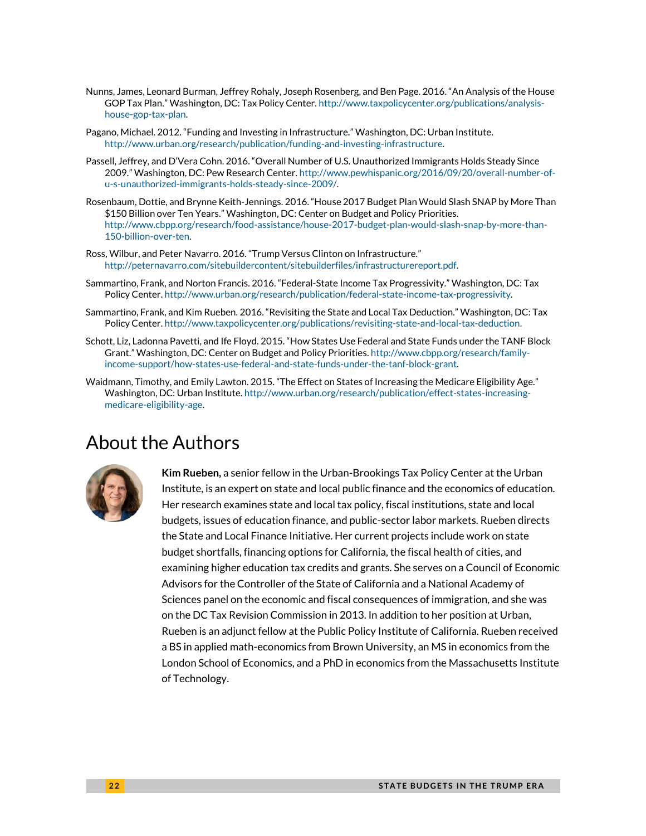- Nunns, James, Leonard Burman, Jeffrey Rohaly, Joseph Rosenberg, and Ben Page. 2016. "An Analysis of the House GOP Tax Plan." Washington, DC: Tax Policy Center[. http://www.taxpolicycenter.org/publications/analysis](http://www.taxpolicycenter.org/publications/analysis-house-gop-tax-plan)[house-gop-tax-plan.](http://www.taxpolicycenter.org/publications/analysis-house-gop-tax-plan)
- Pagano, Michael. 2012. "Funding and Investing in Infrastructure." Washington, DC: Urban Institute. [http://www.urban.org/research/publication/funding-and-investing-infrastructure.](http://www.urban.org/research/publication/funding-and-investing-infrastructure)
- Passell, Jeffrey, and D'Vera Cohn. 2016. "Overall Number of U.S. Unauthorized Immigrants Holds Steady Since 2009." Washington, DC: Pew Research Center[. http://www.pewhispanic.org/2016/09/20/overall-number-of](http://www.pewhispanic.org/2016/09/20/overall-number-of-u-s-unauthorized-immigrants-holds-steady-since-2009/)[u-s-unauthorized-immigrants-holds-steady-since-2009/.](http://www.pewhispanic.org/2016/09/20/overall-number-of-u-s-unauthorized-immigrants-holds-steady-since-2009/)
- Rosenbaum, Dottie, and Brynne Keith-Jennings. 2016. "House 2017 Budget Plan Would Slash SNAP by More Than \$150 Billion over Ten Years." Washington, DC: Center on Budget and Policy Priorities. [http://www.cbpp.org/research/food-assistance/house-2017-budget-plan-would-slash-snap-by-more-than-](http://www.cbpp.org/research/food-assistance/house-2017-budget-plan-would-slash-snap-by-more-than-150-billion-over-ten)[150-billion-over-ten.](http://www.cbpp.org/research/food-assistance/house-2017-budget-plan-would-slash-snap-by-more-than-150-billion-over-ten)
- Ross, Wilbur, and Peter Navarro. 2016. "Trump Versus Clinton on Infrastructure." [http://peternavarro.com/sitebuildercontent/sitebuilderfiles/infrastructurereport.pdf.](http://peternavarro.com/sitebuildercontent/sitebuilderfiles/infrastructurereport.pdf)
- Sammartino, Frank, and Norton Francis. 2016. "Federal-State Income Tax Progressivity." Washington, DC: Tax Policy Center[. http://www.urban.org/research/publication/federal-state-income-tax-progressivity.](http://www.urban.org/research/publication/federal-state-income-tax-progressivity)
- Sammartino, Frank, and Kim Rueben. 2016. "Revisiting the State and Local Tax Deduction." Washington, DC: Tax Policy Center[. http://www.taxpolicycenter.org/publications/revisiting-state-and-local-tax-deduction.](http://www.taxpolicycenter.org/publications/revisiting-state-and-local-tax-deduction)
- Schott, Liz, Ladonna Pavetti, and Ife Floyd. 2015. "How States Use Federal and State Funds under the TANF Block Grant." Washington, DC: Center on Budget and Policy Priorities[. http://www.cbpp.org/research/family](http://www.cbpp.org/research/family-income-support/how-states-use-federal-and-state-funds-under-the-tanf-block-grant)[income-support/how-states-use-federal-and-state-funds-under-the-tanf-block-grant.](http://www.cbpp.org/research/family-income-support/how-states-use-federal-and-state-funds-under-the-tanf-block-grant)
- Waidmann, Timothy, and Emily Lawton. 2015. "The Effect on States of Increasing the Medicare Eligibility Age." Washington, DC: Urban Institute. [http://www.urban.org/research/publication/effect-states-increasing](http://www.urban.org/research/publication/effect-states-increasing-medicare-eligibility-age)[medicare-eligibility-age.](http://www.urban.org/research/publication/effect-states-increasing-medicare-eligibility-age)

### About the Authors



**Kim Rueben,** a senior fellow in the Urban-Brookings Tax Policy Center at the Urban Institute, is an expert on state and local public finance and the economics of education. Her research examines state and local tax policy, fiscal institutions, state and local budgets, issues of education finance, and public-sector labor markets. Rueben directs the State and Local Finance Initiative. Her current projects include work on state budget shortfalls, financing options for California, the fiscal health of cities, and examining higher education tax credits and grants. She serves on a Council of Economic Advisors for the Controller of the State of California and a National Academy of Sciences panel on the economic and fiscal consequences of immigration, and she was on the DC Tax Revision Commission in 2013. In addition to her position at Urban, Rueben is an adjunct fellow at the Public Policy Institute of California. Rueben received a BS in applied math-economics from Brown University, an MS in economics from the London School of Economics, and a PhD in economics from the Massachusetts Institute of Technology.